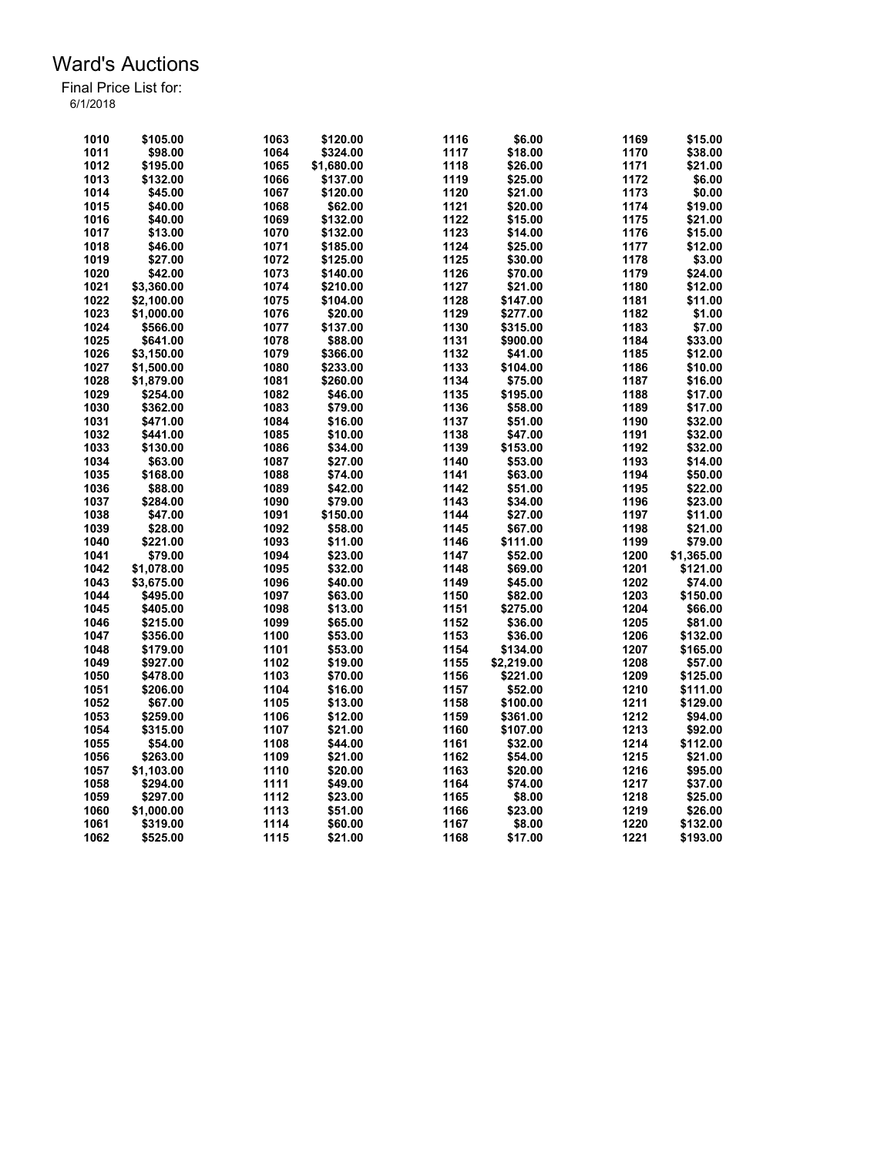| 1010 | \$105.00   | 1063 | \$120.00   | 1116 | \$6.00     | 1169 | \$15.00    |
|------|------------|------|------------|------|------------|------|------------|
| 1011 | \$98.00    | 1064 | \$324.00   | 1117 | \$18.00    | 1170 | \$38.00    |
| 1012 | \$195.00   | 1065 | \$1,680.00 | 1118 | \$26.00    | 1171 | \$21.00    |
| 1013 | \$132.00   | 1066 | \$137.00   | 1119 | \$25.00    | 1172 | \$6.00     |
| 1014 | \$45.00    | 1067 | \$120.00   | 1120 | \$21.00    | 1173 | \$0.00     |
| 1015 | \$40.00    | 1068 | \$62.00    | 1121 | \$20.00    | 1174 | \$19.00    |
| 1016 | \$40.00    | 1069 | \$132.00   | 1122 | \$15.00    | 1175 | \$21.00    |
| 1017 | \$13.00    | 1070 | \$132.00   | 1123 | \$14.00    | 1176 | \$15.00    |
| 1018 | \$46.00    | 1071 | \$185.00   | 1124 | \$25.00    | 1177 | \$12.00    |
| 1019 | \$27.00    | 1072 | \$125.00   | 1125 | \$30.00    | 1178 | \$3.00     |
| 1020 | \$42.00    | 1073 |            | 1126 | \$70.00    | 1179 | \$24.00    |
|      |            |      | \$140.00   |      |            |      |            |
| 1021 | \$3.360.00 | 1074 | \$210.00   | 1127 | \$21.00    | 1180 | \$12.00    |
| 1022 | \$2,100.00 | 1075 | \$104.00   | 1128 | \$147.00   | 1181 | \$11.00    |
| 1023 | \$1,000.00 | 1076 | \$20.00    | 1129 | \$277.00   | 1182 | \$1.00     |
| 1024 | \$566.00   | 1077 | \$137.00   | 1130 | \$315.00   | 1183 | \$7.00     |
| 1025 | \$641.00   | 1078 | \$88.00    | 1131 | \$900.00   | 1184 | \$33.00    |
| 1026 | \$3,150.00 | 1079 | \$366.00   | 1132 | \$41.00    | 1185 | \$12.00    |
| 1027 | \$1,500.00 | 1080 | \$233.00   | 1133 | \$104.00   | 1186 | \$10.00    |
| 1028 | \$1,879.00 | 1081 | \$260.00   | 1134 | \$75.00    | 1187 | \$16.00    |
| 1029 | \$254.00   | 1082 | \$46.00    | 1135 | \$195.00   | 1188 | \$17.00    |
| 1030 | \$362.00   | 1083 | \$79.00    | 1136 | \$58.00    | 1189 | \$17.00    |
| 1031 | \$471.00   | 1084 | \$16.00    | 1137 | \$51.00    | 1190 | \$32.00    |
| 1032 | \$441.00   | 1085 | \$10.00    | 1138 | \$47.00    | 1191 | \$32.00    |
| 1033 | \$130.00   | 1086 | \$34.00    | 1139 | \$153.00   | 1192 | \$32.00    |
| 1034 | \$63.00    | 1087 | \$27.00    | 1140 | \$53.00    | 1193 | \$14.00    |
| 1035 | \$168.00   | 1088 | \$74.00    | 1141 | \$63.00    | 1194 | \$50.00    |
| 1036 | \$88.00    | 1089 | \$42.00    | 1142 | \$51.00    | 1195 | \$22.00    |
| 1037 | \$284.00   | 1090 | \$79.00    | 1143 | \$34.00    | 1196 | \$23.00    |
| 1038 | \$47.00    | 1091 | \$150.00   | 1144 | \$27.00    | 1197 | \$11.00    |
| 1039 | \$28.00    | 1092 | \$58.00    | 1145 | \$67.00    | 1198 | \$21.00    |
| 1040 | \$221.00   | 1093 | \$11.00    | 1146 | \$111.00   | 1199 | \$79.00    |
| 1041 | \$79.00    | 1094 | \$23.00    | 1147 | \$52.00    | 1200 | \$1,365.00 |
| 1042 | \$1,078.00 | 1095 | \$32.00    | 1148 | \$69.00    | 1201 | \$121.00   |
| 1043 | \$3,675.00 | 1096 | \$40.00    | 1149 | \$45.00    | 1202 | \$74.00    |
| 1044 | \$495.00   | 1097 | \$63.00    | 1150 | \$82.00    | 1203 | \$150.00   |
| 1045 | \$405.00   | 1098 | \$13.00    | 1151 | \$275.00   | 1204 | \$66.00    |
| 1046 | \$215.00   | 1099 | \$65.00    | 1152 | \$36.00    | 1205 | \$81.00    |
| 1047 | \$356.00   | 1100 | \$53.00    | 1153 | \$36.00    | 1206 | \$132.00   |
| 1048 | \$179.00   | 1101 | \$53.00    | 1154 | \$134.00   | 1207 | \$165.00   |
| 1049 | \$927.00   | 1102 |            |      |            | 1208 |            |
|      |            |      | \$19.00    | 1155 | \$2,219.00 | 1209 | \$57.00    |
| 1050 | \$478.00   | 1103 | \$70.00    | 1156 | \$221.00   |      | \$125.00   |
| 1051 | \$206.00   | 1104 | \$16.00    | 1157 | \$52.00    | 1210 | \$111.00   |
| 1052 | \$67.00    | 1105 | \$13.00    | 1158 | \$100.00   | 1211 | \$129.00   |
| 1053 | \$259.00   | 1106 | \$12.00    | 1159 | \$361.00   | 1212 | \$94.00    |
| 1054 | \$315.00   | 1107 | \$21.00    | 1160 | \$107.00   | 1213 | \$92.00    |
| 1055 | \$54.00    | 1108 | \$44.00    | 1161 | \$32.00    | 1214 | \$112.00   |
| 1056 | \$263.00   | 1109 | \$21.00    | 1162 | \$54.00    | 1215 | \$21.00    |
| 1057 | \$1,103.00 | 1110 | \$20.00    | 1163 | \$20.00    | 1216 | \$95.00    |
| 1058 | \$294.00   | 1111 | \$49.00    | 1164 | \$74.00    | 1217 | \$37.00    |
| 1059 | \$297.00   | 1112 | \$23.00    | 1165 | \$8.00     | 1218 | \$25.00    |
| 1060 | \$1,000.00 | 1113 | \$51.00    | 1166 | \$23.00    | 1219 | \$26.00    |
| 1061 | \$319.00   | 1114 | \$60.00    | 1167 | \$8.00     | 1220 | \$132.00   |
| 1062 | \$525.00   | 1115 | \$21.00    | 1168 | \$17.00    | 1221 | \$193.00   |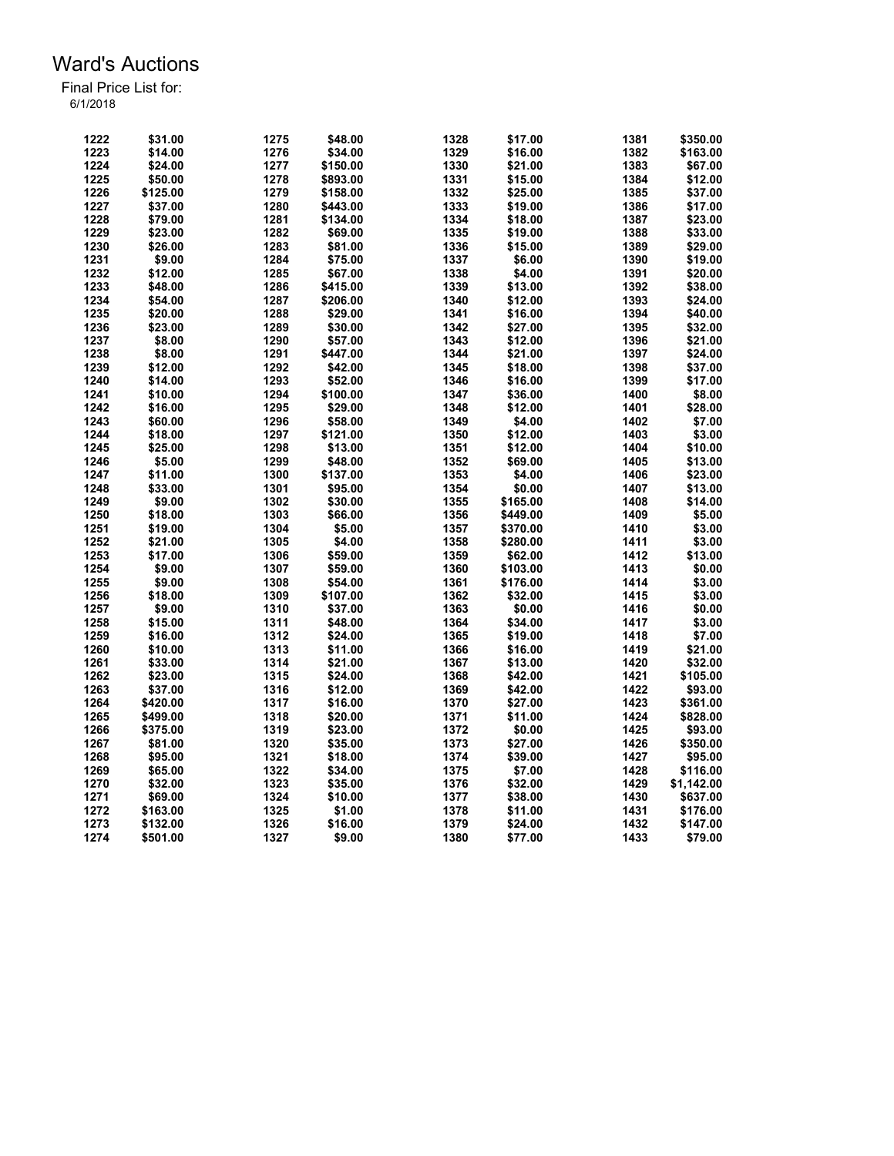| 1222 | \$31.00  | 1275 | \$48.00  | 1328 | \$17.00  | 1381 | \$350.00   |
|------|----------|------|----------|------|----------|------|------------|
|      |          |      |          |      |          |      |            |
| 1223 | \$14.00  | 1276 | \$34.00  | 1329 | \$16.00  | 1382 | \$163.00   |
| 1224 | \$24.00  | 1277 | \$150.00 | 1330 | \$21.00  | 1383 | \$67.00    |
| 1225 | \$50.00  | 1278 | \$893.00 | 1331 | \$15.00  | 1384 | \$12.00    |
| 1226 | \$125.00 | 1279 | \$158.00 | 1332 | \$25.00  | 1385 | \$37.00    |
| 1227 | \$37.00  | 1280 | \$443.00 | 1333 | \$19.00  | 1386 | \$17.00    |
| 1228 | \$79.00  | 1281 | \$134.00 | 1334 | \$18.00  | 1387 | \$23.00    |
| 1229 | \$23.00  | 1282 | \$69.00  | 1335 | \$19.00  | 1388 | \$33.00    |
| 1230 | \$26.00  | 1283 | \$81.00  | 1336 | \$15.00  | 1389 | \$29.00    |
| 1231 | \$9.00   | 1284 | \$75.00  | 1337 | \$6.00   | 1390 | \$19.00    |
| 1232 | \$12.00  | 1285 | \$67.00  | 1338 | \$4.00   | 1391 | \$20.00    |
| 1233 | \$48.00  | 1286 | \$415.00 | 1339 | \$13.00  | 1392 | \$38.00    |
| 1234 | \$54.00  | 1287 | \$206.00 | 1340 | \$12.00  | 1393 | \$24.00    |
| 1235 | \$20.00  | 1288 | \$29.00  | 1341 | \$16.00  | 1394 | \$40.00    |
| 1236 | \$23.00  | 1289 | \$30.00  | 1342 | \$27.00  | 1395 | \$32.00    |
| 1237 | \$8.00   | 1290 | \$57.00  | 1343 | \$12.00  | 1396 | \$21.00    |
| 1238 | \$8.00   | 1291 | \$447.00 | 1344 | \$21.00  | 1397 | \$24.00    |
| 1239 | \$12.00  | 1292 | \$42.00  | 1345 | \$18.00  | 1398 | \$37.00    |
| 1240 | \$14.00  | 1293 | \$52.00  | 1346 | \$16.00  | 1399 | \$17.00    |
| 1241 | \$10.00  | 1294 | \$100.00 | 1347 | \$36.00  | 1400 | \$8.00     |
|      |          |      |          |      |          |      |            |
| 1242 | \$16.00  | 1295 | \$29.00  | 1348 | \$12.00  | 1401 | \$28.00    |
| 1243 | \$60.00  | 1296 | \$58.00  | 1349 | \$4.00   | 1402 | \$7.00     |
| 1244 | \$18.00  | 1297 | \$121.00 | 1350 | \$12.00  | 1403 | \$3.00     |
| 1245 | \$25.00  | 1298 | \$13.00  | 1351 | \$12.00  | 1404 | \$10.00    |
| 1246 | \$5.00   | 1299 | \$48.00  | 1352 | \$69.00  | 1405 | \$13.00    |
| 1247 | \$11.00  | 1300 | \$137.00 | 1353 | \$4.00   | 1406 | \$23.00    |
| 1248 | \$33.00  | 1301 | \$95.00  | 1354 | \$0.00   | 1407 | \$13.00    |
| 1249 | \$9.00   | 1302 | \$30.00  | 1355 | \$165.00 | 1408 | \$14.00    |
| 1250 | \$18.00  | 1303 | \$66.00  | 1356 | \$449.00 | 1409 | \$5.00     |
| 1251 | \$19.00  | 1304 | \$5.00   | 1357 | \$370.00 | 1410 | \$3.00     |
| 1252 | \$21.00  | 1305 | \$4.00   | 1358 | \$280.00 | 1411 | \$3.00     |
| 1253 | \$17.00  | 1306 | \$59.00  | 1359 | \$62.00  | 1412 | \$13.00    |
| 1254 | \$9.00   | 1307 | \$59.00  | 1360 | \$103.00 | 1413 | \$0.00     |
| 1255 | \$9.00   | 1308 | \$54.00  | 1361 | \$176.00 | 1414 | \$3.00     |
| 1256 | \$18.00  | 1309 | \$107.00 | 1362 | \$32.00  | 1415 | \$3.00     |
| 1257 | \$9.00   | 1310 | \$37.00  | 1363 | \$0.00   | 1416 | \$0.00     |
| 1258 | \$15.00  | 1311 | \$48.00  | 1364 | \$34.00  | 1417 | \$3.00     |
| 1259 | \$16.00  | 1312 | \$24.00  | 1365 | \$19.00  | 1418 | \$7.00     |
| 1260 | \$10.00  | 1313 | \$11.00  | 1366 | \$16.00  | 1419 | \$21.00    |
| 1261 | \$33.00  | 1314 | \$21.00  | 1367 | \$13.00  | 1420 | \$32.00    |
| 1262 | \$23.00  | 1315 | \$24.00  | 1368 | \$42.00  | 1421 | \$105.00   |
| 1263 | \$37.00  | 1316 | \$12.00  | 1369 | \$42.00  | 1422 | \$93.00    |
| 1264 | \$420.00 | 1317 | \$16.00  | 1370 | \$27.00  | 1423 | \$361.00   |
| 1265 | \$499.00 | 1318 | \$20.00  | 1371 | \$11.00  | 1424 | \$828.00   |
|      |          |      |          | 1372 |          | 1425 |            |
| 1266 | \$375.00 | 1319 | \$23.00  |      | \$0.00   |      | \$93.00    |
| 1267 | \$81.00  | 1320 | \$35.00  | 1373 | \$27.00  | 1426 | \$350.00   |
| 1268 | \$95.00  | 1321 | \$18.00  | 1374 | \$39.00  | 1427 | \$95.00    |
| 1269 | \$65.00  | 1322 | \$34.00  | 1375 | \$7.00   | 1428 | \$116.00   |
| 1270 | \$32.00  | 1323 | \$35.00  | 1376 | \$32.00  | 1429 | \$1,142.00 |
| 1271 | \$69.00  | 1324 | \$10.00  | 1377 | \$38.00  | 1430 | \$637.00   |
| 1272 | \$163.00 | 1325 | \$1.00   | 1378 | \$11.00  | 1431 | \$176.00   |
| 1273 | \$132.00 | 1326 | \$16.00  | 1379 | \$24.00  | 1432 | \$147.00   |
| 1274 | \$501.00 | 1327 | \$9.00   | 1380 | \$77.00  | 1433 | \$79.00    |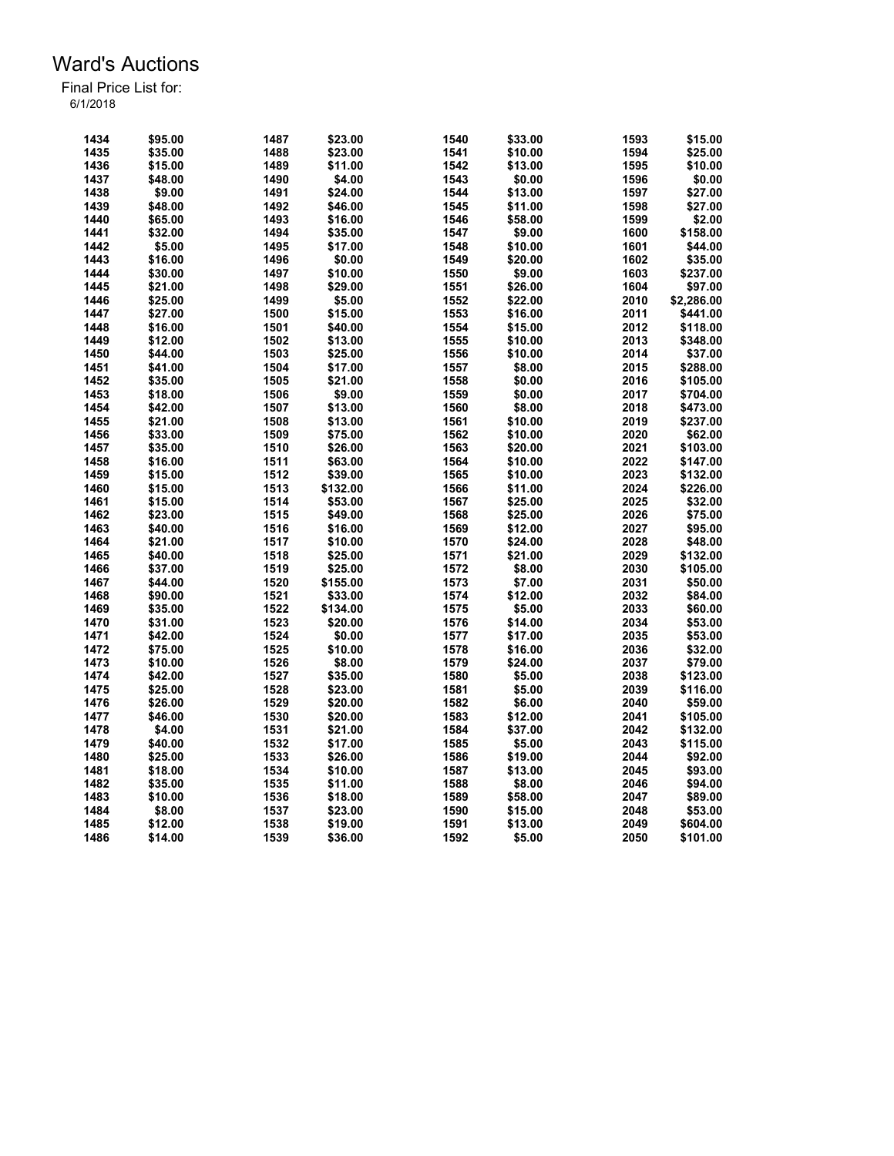| 1434 | \$95.00 | 1487 | \$23.00  | 1540 | \$33.00 | 1593 | \$15.00    |
|------|---------|------|----------|------|---------|------|------------|
| 1435 | \$35.00 | 1488 | \$23.00  | 1541 | \$10.00 | 1594 | \$25.00    |
| 1436 | \$15.00 | 1489 | \$11.00  | 1542 | \$13.00 | 1595 | \$10.00    |
| 1437 | \$48.00 | 1490 | \$4.00   | 1543 | \$0.00  | 1596 | \$0.00     |
| 1438 | \$9.00  | 1491 | \$24.00  | 1544 | \$13.00 | 1597 | \$27.00    |
| 1439 | \$48.00 | 1492 | \$46.00  | 1545 | \$11.00 | 1598 | \$27.00    |
| 1440 | \$65.00 | 1493 | \$16.00  | 1546 | \$58.00 | 1599 | \$2.00     |
| 1441 | \$32.00 | 1494 | \$35.00  | 1547 | \$9.00  | 1600 | \$158.00   |
| 1442 | \$5.00  | 1495 | \$17.00  | 1548 | \$10.00 | 1601 | \$44.00    |
| 1443 | \$16.00 | 1496 | \$0.00   | 1549 | \$20.00 | 1602 | \$35.00    |
| 1444 | \$30.00 | 1497 | \$10.00  | 1550 | \$9.00  | 1603 | \$237.00   |
| 1445 | \$21.00 | 1498 | \$29.00  | 1551 | \$26.00 | 1604 | \$97.00    |
| 1446 | \$25.00 | 1499 | \$5.00   | 1552 | \$22.00 | 2010 | \$2,286.00 |
| 1447 | \$27.00 | 1500 | \$15.00  | 1553 | \$16.00 | 2011 | \$441.00   |
| 1448 | \$16.00 | 1501 | \$40.00  | 1554 | \$15.00 | 2012 | \$118.00   |
| 1449 | \$12.00 | 1502 | \$13.00  | 1555 | \$10.00 | 2013 | \$348.00   |
| 1450 | \$44.00 | 1503 | \$25.00  | 1556 | \$10.00 | 2014 | \$37.00    |
|      |         |      |          |      |         |      |            |
| 1451 | \$41.00 | 1504 | \$17.00  | 1557 | \$8.00  | 2015 | \$288.00   |
| 1452 | \$35.00 | 1505 | \$21.00  | 1558 | \$0.00  | 2016 | \$105.00   |
| 1453 | \$18.00 | 1506 | \$9.00   | 1559 | \$0.00  | 2017 | \$704.00   |
| 1454 | \$42.00 | 1507 | \$13.00  | 1560 | \$8.00  | 2018 | \$473.00   |
| 1455 | \$21.00 | 1508 | \$13.00  | 1561 | \$10.00 | 2019 | \$237.00   |
| 1456 | \$33.00 | 1509 | \$75.00  | 1562 | \$10.00 | 2020 | \$62.00    |
| 1457 | \$35.00 | 1510 | \$26.00  | 1563 | \$20.00 | 2021 | \$103.00   |
| 1458 | \$16.00 | 1511 | \$63.00  | 1564 | \$10.00 | 2022 | \$147.00   |
| 1459 | \$15.00 | 1512 | \$39.00  | 1565 | \$10.00 | 2023 | \$132.00   |
| 1460 | \$15.00 | 1513 | \$132.00 | 1566 | \$11.00 | 2024 | \$226.00   |
| 1461 | \$15.00 | 1514 | \$53.00  | 1567 | \$25.00 | 2025 | \$32.00    |
| 1462 | \$23.00 | 1515 | \$49.00  | 1568 | \$25.00 | 2026 | \$75.00    |
| 1463 | \$40.00 | 1516 | \$16.00  | 1569 | \$12.00 | 2027 | \$95.00    |
| 1464 | \$21.00 | 1517 | \$10.00  | 1570 | \$24.00 | 2028 | \$48.00    |
| 1465 | \$40.00 | 1518 | \$25.00  | 1571 | \$21.00 | 2029 | \$132.00   |
| 1466 | \$37.00 | 1519 | \$25.00  | 1572 | \$8.00  | 2030 | \$105.00   |
| 1467 | \$44.00 | 1520 | \$155.00 | 1573 | \$7.00  | 2031 | \$50.00    |
| 1468 | \$90.00 | 1521 | \$33.00  | 1574 | \$12.00 | 2032 | \$84.00    |
| 1469 | \$35.00 | 1522 | \$134.00 | 1575 | \$5.00  | 2033 | \$60.00    |
| 1470 | \$31.00 | 1523 | \$20.00  | 1576 | \$14.00 | 2034 | \$53.00    |
| 1471 | \$42.00 | 1524 | \$0.00   | 1577 | \$17.00 | 2035 | \$53.00    |
| 1472 | \$75.00 | 1525 | \$10.00  | 1578 | \$16.00 | 2036 | \$32.00    |
| 1473 | \$10.00 | 1526 | \$8.00   | 1579 | \$24.00 | 2037 | \$79.00    |
| 1474 | \$42.00 | 1527 | \$35.00  | 1580 | \$5.00  | 2038 | \$123.00   |
| 1475 | \$25.00 | 1528 | \$23.00  | 1581 | \$5.00  | 2039 | \$116.00   |
| 1476 | \$26.00 | 1529 |          | 1582 | \$6.00  | 2040 |            |
|      |         |      | \$20.00  |      |         |      | \$59.00    |
| 1477 | \$46.00 | 1530 | \$20.00  | 1583 | \$12.00 | 2041 | \$105.00   |
| 1478 | \$4.00  | 1531 | \$21.00  | 1584 | \$37.00 | 2042 | \$132.00   |
| 1479 | \$40.00 | 1532 | \$17.00  | 1585 | \$5.00  | 2043 | \$115.00   |
| 1480 | \$25.00 | 1533 | \$26.00  | 1586 | \$19.00 | 2044 | \$92.00    |
| 1481 | \$18.00 | 1534 | \$10.00  | 1587 | \$13.00 | 2045 | \$93.00    |
| 1482 | \$35.00 | 1535 | \$11.00  | 1588 | \$8.00  | 2046 | \$94.00    |
| 1483 | \$10.00 | 1536 | \$18.00  | 1589 | \$58.00 | 2047 | \$89.00    |
| 1484 | \$8.00  | 1537 | \$23.00  | 1590 | \$15.00 | 2048 | \$53.00    |
| 1485 | \$12.00 | 1538 | \$19.00  | 1591 | \$13.00 | 2049 | \$604.00   |
| 1486 | \$14.00 | 1539 | \$36.00  | 1592 | \$5.00  | 2050 | \$101.00   |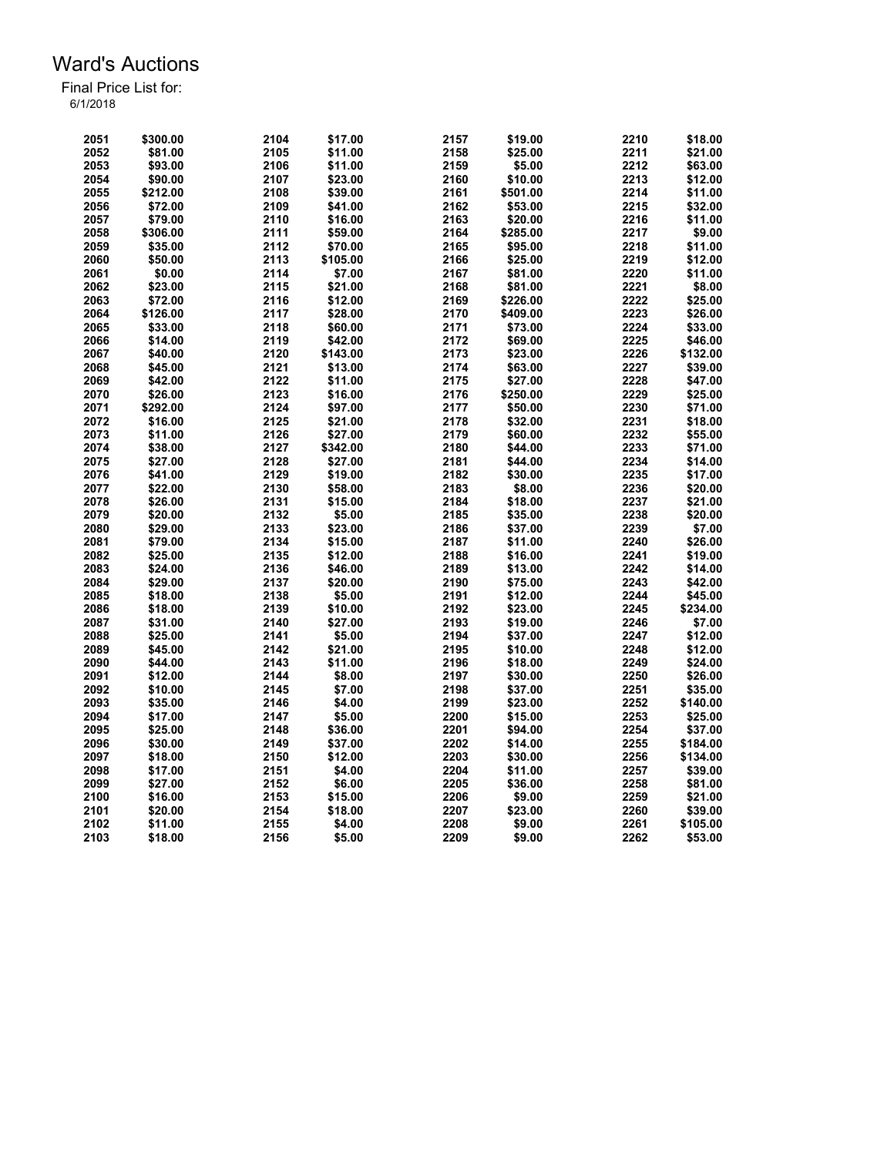| 2051 | \$300.00 | 2104 | \$17.00  | 2157 | \$19.00  | 2210 | \$18.00  |
|------|----------|------|----------|------|----------|------|----------|
| 2052 | \$81.00  | 2105 | \$11.00  | 2158 | \$25.00  | 2211 | \$21.00  |
| 2053 | \$93.00  | 2106 | \$11.00  | 2159 | \$5.00   | 2212 | \$63.00  |
| 2054 | \$90.00  | 2107 | \$23.00  | 2160 | \$10.00  | 2213 | \$12.00  |
| 2055 | \$212.00 | 2108 | \$39.00  | 2161 | \$501.00 | 2214 | \$11.00  |
| 2056 | \$72.00  | 2109 | \$41.00  | 2162 | \$53.00  | 2215 | \$32.00  |
| 2057 | \$79.00  | 2110 | \$16.00  | 2163 | \$20.00  | 2216 | \$11.00  |
| 2058 | \$306.00 | 2111 | \$59.00  | 2164 | \$285.00 | 2217 | \$9.00   |
| 2059 | \$35.00  | 2112 | \$70.00  | 2165 | \$95.00  | 2218 | \$11.00  |
| 2060 | \$50.00  | 2113 | \$105.00 | 2166 | \$25.00  | 2219 | \$12.00  |
| 2061 | \$0.00   | 2114 | \$7.00   | 2167 | \$81.00  | 2220 | \$11.00  |
| 2062 | \$23.00  | 2115 | \$21.00  | 2168 | \$81.00  | 2221 | \$8.00   |
| 2063 | \$72.00  | 2116 | \$12.00  | 2169 | \$226.00 | 2222 | \$25.00  |
| 2064 | \$126.00 | 2117 | \$28.00  | 2170 | \$409.00 | 2223 | \$26.00  |
| 2065 | \$33.00  | 2118 | \$60.00  | 2171 | \$73.00  | 2224 | \$33.00  |
| 2066 | \$14.00  | 2119 | \$42.00  | 2172 | \$69.00  | 2225 | \$46.00  |
| 2067 | \$40.00  | 2120 | \$143.00 | 2173 | \$23.00  | 2226 | \$132.00 |
| 2068 | \$45.00  | 2121 | \$13.00  | 2174 | \$63.00  | 2227 | \$39.00  |
| 2069 | \$42.00  | 2122 | \$11.00  | 2175 | \$27.00  | 2228 | \$47.00  |
| 2070 | \$26.00  | 2123 | \$16.00  | 2176 | \$250.00 | 2229 | \$25.00  |
| 2071 | \$292.00 | 2124 | \$97.00  | 2177 | \$50.00  | 2230 | \$71.00  |
| 2072 | \$16.00  | 2125 | \$21.00  | 2178 | \$32.00  | 2231 | \$18.00  |
| 2073 | \$11.00  | 2126 | \$27.00  | 2179 | \$60.00  | 2232 | \$55.00  |
| 2074 | \$38.00  | 2127 | \$342.00 | 2180 | \$44.00  | 2233 | \$71.00  |
| 2075 | \$27.00  | 2128 | \$27.00  | 2181 | \$44.00  | 2234 | \$14.00  |
| 2076 | \$41.00  | 2129 | \$19.00  | 2182 | \$30.00  | 2235 | \$17.00  |
|      |          |      |          |      |          |      |          |
| 2077 | \$22.00  | 2130 | \$58.00  | 2183 | \$8.00   | 2236 | \$20.00  |
| 2078 | \$26.00  | 2131 | \$15.00  | 2184 | \$18.00  | 2237 | \$21.00  |
| 2079 | \$20.00  | 2132 | \$5.00   | 2185 | \$35.00  | 2238 | \$20.00  |
| 2080 | \$29.00  | 2133 | \$23.00  | 2186 | \$37.00  | 2239 | \$7.00   |
| 2081 | \$79.00  | 2134 | \$15.00  | 2187 | \$11.00  | 2240 | \$26.00  |
| 2082 | \$25.00  | 2135 | \$12.00  | 2188 | \$16.00  | 2241 | \$19.00  |
| 2083 | \$24.00  | 2136 | \$46.00  | 2189 | \$13.00  | 2242 | \$14.00  |
| 2084 | \$29.00  | 2137 | \$20.00  | 2190 | \$75.00  | 2243 | \$42.00  |
| 2085 | \$18.00  | 2138 | \$5.00   | 2191 | \$12.00  | 2244 | \$45.00  |
| 2086 | \$18.00  | 2139 | \$10.00  | 2192 | \$23.00  | 2245 | \$234.00 |
| 2087 | \$31.00  | 2140 | \$27.00  | 2193 | \$19.00  | 2246 | \$7.00   |
| 2088 | \$25.00  | 2141 | \$5.00   | 2194 | \$37.00  | 2247 | \$12.00  |
| 2089 | \$45.00  | 2142 | \$21.00  | 2195 | \$10.00  | 2248 | \$12.00  |
| 2090 | \$44.00  | 2143 | \$11.00  | 2196 | \$18.00  | 2249 | \$24.00  |
| 2091 | \$12.00  | 2144 | \$8.00   | 2197 | \$30.00  | 2250 | \$26.00  |
| 2092 | \$10.00  | 2145 | \$7.00   | 2198 | \$37.00  | 2251 | \$35.00  |
| 2093 | \$35.00  | 2146 | \$4.00   | 2199 | \$23.00  | 2252 | \$140.00 |
| 2094 | \$17.00  | 2147 | \$5.00   | 2200 | \$15.00  | 2253 | \$25.00  |
| 2095 | \$25.00  | 2148 | \$36.00  | 2201 | \$94.00  | 2254 | \$37.00  |
| 2096 | \$30.00  | 2149 | \$37.00  | 2202 | \$14.00  | 2255 | \$184.00 |
| 2097 | \$18.00  | 2150 | \$12.00  | 2203 | \$30.00  | 2256 | \$134.00 |
| 2098 | \$17.00  | 2151 | \$4.00   | 2204 | \$11.00  | 2257 | \$39.00  |
| 2099 | \$27.00  | 2152 | \$6.00   | 2205 | \$36.00  | 2258 | \$81.00  |
| 2100 | \$16.00  | 2153 | \$15.00  | 2206 | \$9.00   | 2259 | \$21.00  |
| 2101 | \$20.00  | 2154 | \$18.00  | 2207 | \$23.00  | 2260 | \$39.00  |
| 2102 | \$11.00  | 2155 | \$4.00   | 2208 | \$9.00   | 2261 | \$105.00 |
| 2103 | \$18.00  | 2156 | \$5.00   | 2209 | \$9.00   | 2262 | \$53.00  |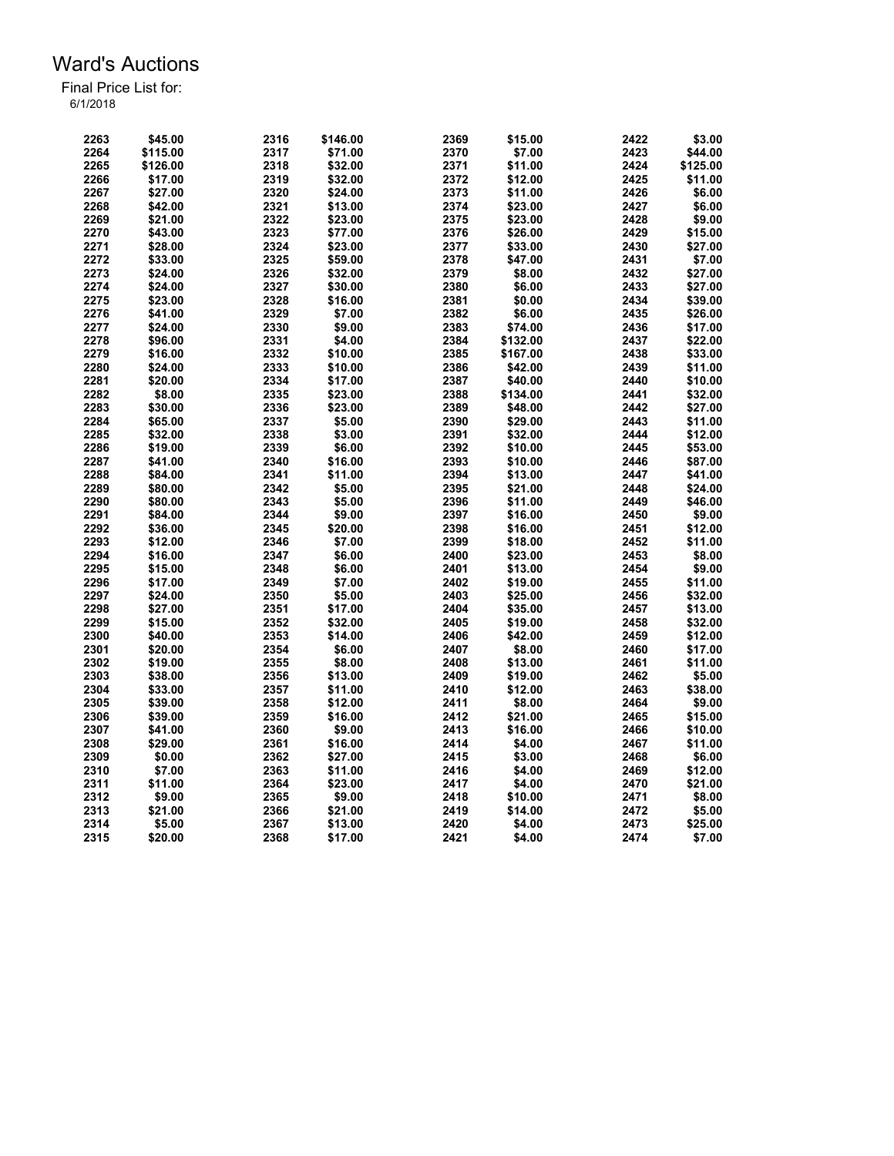| 2263 | \$45.00  | 2316 | \$146.00 | 2369 | \$15.00  | 2422 | \$3.00   |
|------|----------|------|----------|------|----------|------|----------|
| 2264 | \$115.00 | 2317 | \$71.00  | 2370 | \$7.00   | 2423 | \$44.00  |
| 2265 | \$126.00 | 2318 | \$32.00  | 2371 | \$11.00  | 2424 | \$125.00 |
| 2266 | \$17.00  | 2319 | \$32.00  | 2372 | \$12.00  | 2425 | \$11.00  |
| 2267 | \$27.00  | 2320 | \$24.00  | 2373 | \$11.00  | 2426 | \$6.00   |
| 2268 | \$42.00  | 2321 | \$13.00  | 2374 | \$23.00  | 2427 | \$6.00   |
| 2269 | \$21.00  | 2322 | \$23.00  | 2375 | \$23.00  | 2428 | \$9.00   |
| 2270 | \$43.00  | 2323 | \$77.00  | 2376 | \$26.00  | 2429 | \$15.00  |
| 2271 | \$28.00  | 2324 | \$23.00  | 2377 | \$33.00  | 2430 | \$27.00  |
| 2272 | \$33.00  | 2325 | \$59.00  | 2378 | \$47.00  | 2431 | \$7.00   |
| 2273 | \$24.00  | 2326 | \$32.00  | 2379 | \$8.00   | 2432 | \$27.00  |
| 2274 | \$24.00  | 2327 | \$30.00  | 2380 | \$6.00   | 2433 | \$27.00  |
| 2275 | \$23.00  | 2328 | \$16.00  | 2381 | \$0.00   | 2434 | \$39.00  |
| 2276 | \$41.00  | 2329 | \$7.00   | 2382 | \$6.00   | 2435 | \$26.00  |
| 2277 | \$24.00  | 2330 | \$9.00   | 2383 | \$74.00  | 2436 | \$17.00  |
| 2278 | \$96.00  | 2331 | \$4.00   | 2384 | \$132.00 | 2437 | \$22.00  |
| 2279 | \$16.00  | 2332 | \$10.00  | 2385 | \$167.00 | 2438 | \$33.00  |
| 2280 | \$24.00  | 2333 | \$10.00  | 2386 | \$42.00  | 2439 | \$11.00  |
| 2281 | \$20.00  | 2334 | \$17.00  | 2387 | \$40.00  | 2440 | \$10.00  |
| 2282 | \$8.00   | 2335 | \$23.00  | 2388 | \$134.00 | 2441 | \$32.00  |
| 2283 | \$30.00  | 2336 | \$23.00  | 2389 | \$48.00  | 2442 | \$27.00  |
| 2284 | \$65.00  | 2337 | \$5.00   | 2390 | \$29.00  | 2443 | \$11.00  |
| 2285 | \$32.00  | 2338 | \$3.00   | 2391 | \$32.00  | 2444 | \$12.00  |
|      |          |      |          |      |          |      |          |
| 2286 | \$19.00  | 2339 | \$6.00   | 2392 | \$10.00  | 2445 | \$53.00  |
| 2287 | \$41.00  | 2340 | \$16.00  | 2393 | \$10.00  | 2446 | \$87.00  |
| 2288 | \$84.00  | 2341 | \$11.00  | 2394 | \$13.00  | 2447 | \$41.00  |
| 2289 | \$80.00  | 2342 | \$5.00   | 2395 | \$21.00  | 2448 | \$24.00  |
| 2290 | \$80.00  | 2343 | \$5.00   | 2396 | \$11.00  | 2449 | \$46.00  |
| 2291 | \$84.00  | 2344 | \$9.00   | 2397 | \$16.00  | 2450 | \$9.00   |
| 2292 | \$36.00  | 2345 | \$20.00  | 2398 | \$16.00  | 2451 | \$12.00  |
| 2293 | \$12.00  | 2346 | \$7.00   | 2399 | \$18.00  | 2452 | \$11.00  |
| 2294 | \$16.00  | 2347 | \$6.00   | 2400 | \$23.00  | 2453 | \$8.00   |
| 2295 | \$15.00  | 2348 | \$6.00   | 2401 | \$13.00  | 2454 | \$9.00   |
| 2296 | \$17.00  | 2349 | \$7.00   | 2402 | \$19.00  | 2455 | \$11.00  |
| 2297 | \$24.00  | 2350 | \$5.00   | 2403 | \$25.00  | 2456 | \$32.00  |
| 2298 | \$27.00  | 2351 | \$17.00  | 2404 | \$35.00  | 2457 | \$13.00  |
| 2299 | \$15.00  | 2352 | \$32.00  | 2405 | \$19.00  | 2458 | \$32.00  |
| 2300 | \$40.00  | 2353 | \$14.00  | 2406 | \$42.00  | 2459 | \$12.00  |
| 2301 | \$20.00  | 2354 | \$6.00   | 2407 | \$8.00   | 2460 | \$17.00  |
| 2302 | \$19.00  | 2355 | \$8.00   | 2408 | \$13.00  | 2461 | \$11.00  |
| 2303 | \$38.00  | 2356 | \$13.00  | 2409 | \$19.00  | 2462 | \$5.00   |
| 2304 | \$33.00  | 2357 | \$11.00  | 2410 | \$12.00  | 2463 | \$38.00  |
| 2305 | \$39.00  | 2358 | \$12.00  | 2411 | \$8.00   | 2464 | \$9.00   |
| 2306 | \$39.00  | 2359 | \$16.00  | 2412 | \$21.00  | 2465 | \$15.00  |
| 2307 | \$41.00  | 2360 | \$9.00   | 2413 | \$16.00  | 2466 | \$10.00  |
| 2308 | \$29.00  | 2361 | \$16.00  | 2414 | \$4.00   | 2467 | \$11.00  |
| 2309 | \$0.00   | 2362 | \$27.00  | 2415 | \$3.00   | 2468 | \$6.00   |
| 2310 | \$7.00   | 2363 | \$11.00  | 2416 | \$4.00   | 2469 | \$12.00  |
| 2311 | \$11.00  | 2364 | \$23.00  | 2417 | \$4.00   | 2470 | \$21.00  |
| 2312 | \$9.00   | 2365 | \$9.00   | 2418 | \$10.00  | 2471 | \$8.00   |
| 2313 | \$21.00  | 2366 | \$21.00  | 2419 | \$14.00  | 2472 | \$5.00   |
| 2314 | \$5.00   | 2367 | \$13.00  | 2420 | \$4.00   | 2473 | \$25.00  |
| 2315 | \$20.00  | 2368 | \$17.00  | 2421 | \$4.00   | 2474 | \$7.00   |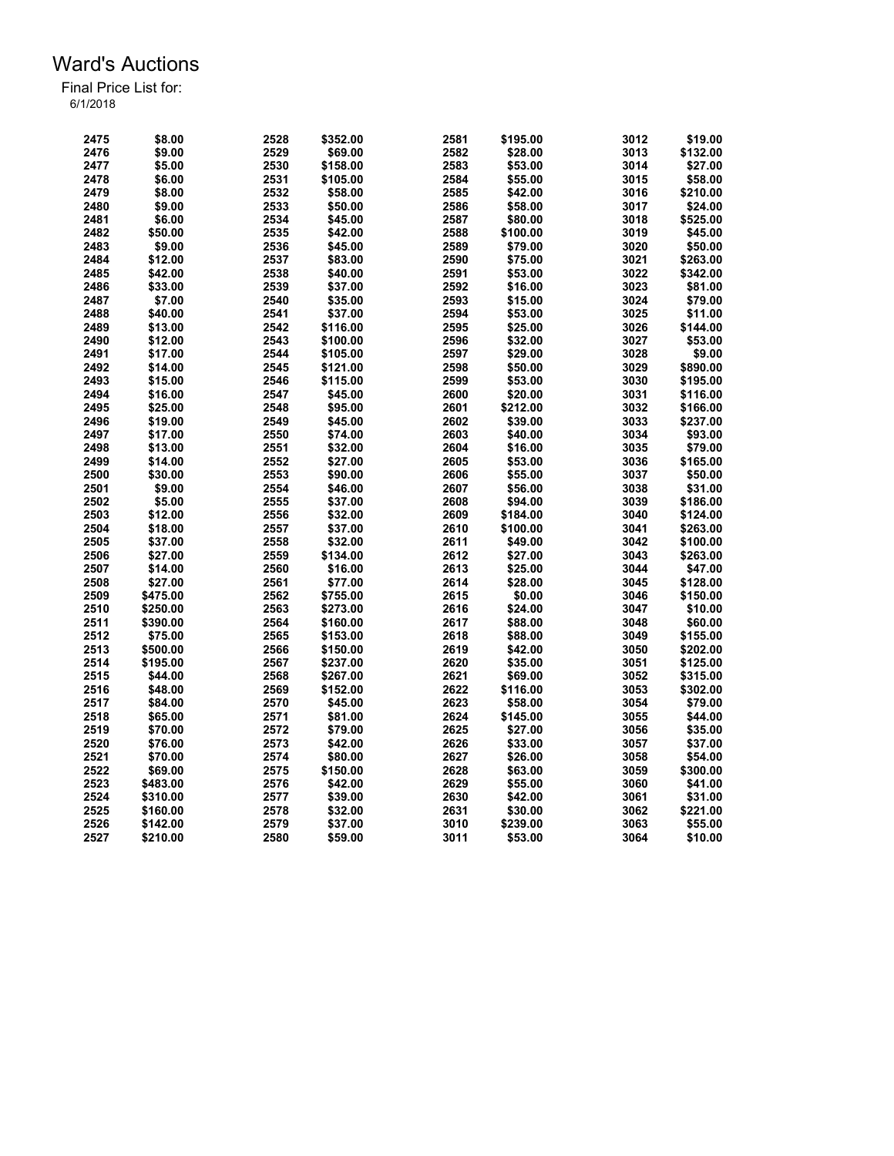| 2475 | \$8.00   | 2528 | \$352.00 | 2581 | \$195.00 | 3012 | \$19.00  |
|------|----------|------|----------|------|----------|------|----------|
| 2476 | \$9.00   | 2529 | \$69.00  | 2582 | \$28.00  | 3013 | \$132.00 |
| 2477 | \$5.00   | 2530 | \$158.00 | 2583 | \$53.00  | 3014 | \$27.00  |
| 2478 | \$6.00   | 2531 | \$105.00 | 2584 | \$55.00  | 3015 | \$58.00  |
| 2479 | \$8.00   | 2532 | \$58.00  | 2585 | \$42.00  | 3016 | \$210.00 |
| 2480 | \$9.00   | 2533 | \$50.00  | 2586 | \$58.00  | 3017 | \$24.00  |
| 2481 | \$6.00   | 2534 | \$45.00  | 2587 | \$80.00  | 3018 | \$525.00 |
| 2482 | \$50.00  | 2535 | \$42.00  | 2588 | \$100.00 | 3019 | \$45.00  |
| 2483 | \$9.00   | 2536 | \$45.00  | 2589 | \$79.00  | 3020 | \$50.00  |
| 2484 | \$12.00  | 2537 | \$83.00  | 2590 | \$75.00  | 3021 | \$263.00 |
| 2485 | \$42.00  | 2538 | \$40.00  | 2591 | \$53.00  | 3022 | \$342.00 |
|      |          |      |          |      |          |      |          |
| 2486 | \$33.00  | 2539 | \$37.00  | 2592 | \$16.00  | 3023 | \$81.00  |
| 2487 | \$7.00   | 2540 | \$35.00  | 2593 | \$15.00  | 3024 | \$79.00  |
| 2488 | \$40.00  | 2541 | \$37.00  | 2594 | \$53.00  | 3025 | \$11.00  |
| 2489 | \$13.00  | 2542 | \$116.00 | 2595 | \$25.00  | 3026 | \$144.00 |
| 2490 | \$12.00  | 2543 | \$100.00 | 2596 | \$32.00  | 3027 | \$53.00  |
| 2491 | \$17.00  | 2544 | \$105.00 | 2597 | \$29.00  | 3028 | \$9.00   |
| 2492 | \$14.00  | 2545 | \$121.00 | 2598 | \$50.00  | 3029 | \$890.00 |
| 2493 | \$15.00  | 2546 | \$115.00 | 2599 | \$53.00  | 3030 | \$195.00 |
| 2494 | \$16.00  | 2547 | \$45.00  | 2600 | \$20.00  | 3031 | \$116.00 |
| 2495 | \$25.00  | 2548 | \$95.00  | 2601 | \$212.00 | 3032 | \$166.00 |
| 2496 | \$19.00  | 2549 | \$45.00  | 2602 | \$39.00  | 3033 | \$237.00 |
| 2497 | \$17.00  | 2550 | \$74.00  | 2603 | \$40.00  | 3034 | \$93.00  |
| 2498 | \$13.00  | 2551 | \$32.00  | 2604 | \$16.00  | 3035 | \$79.00  |
| 2499 | \$14.00  | 2552 | \$27.00  | 2605 | \$53.00  | 3036 | \$165.00 |
| 2500 | \$30.00  | 2553 | \$90.00  | 2606 | \$55.00  | 3037 | \$50.00  |
| 2501 | \$9.00   | 2554 | \$46.00  | 2607 | \$56.00  | 3038 | \$31.00  |
| 2502 | \$5.00   | 2555 | \$37.00  | 2608 | \$94.00  | 3039 | \$186.00 |
| 2503 | \$12.00  | 2556 | \$32.00  | 2609 | \$184.00 | 3040 | \$124.00 |
| 2504 | \$18.00  | 2557 | \$37.00  | 2610 | \$100.00 | 3041 | \$263.00 |
| 2505 | \$37.00  | 2558 | \$32.00  | 2611 | \$49.00  | 3042 | \$100.00 |
| 2506 | \$27.00  | 2559 | \$134.00 | 2612 | \$27.00  | 3043 | \$263.00 |
| 2507 | \$14.00  | 2560 | \$16.00  | 2613 | \$25.00  | 3044 | \$47.00  |
| 2508 | \$27.00  | 2561 | \$77.00  | 2614 | \$28.00  | 3045 | \$128.00 |
| 2509 | \$475.00 | 2562 | \$755.00 | 2615 | \$0.00   | 3046 | \$150.00 |
| 2510 | \$250.00 | 2563 | \$273.00 | 2616 | \$24.00  | 3047 | \$10.00  |
| 2511 | \$390.00 | 2564 | \$160.00 | 2617 | \$88.00  | 3048 | \$60.00  |
| 2512 | \$75.00  | 2565 | \$153.00 | 2618 | \$88.00  | 3049 | \$155.00 |
| 2513 | \$500.00 | 2566 | \$150.00 | 2619 | \$42.00  | 3050 | \$202.00 |
| 2514 |          | 2567 |          | 2620 |          | 3051 |          |
|      | \$195.00 |      | \$237.00 |      | \$35.00  |      | \$125.00 |
| 2515 | \$44.00  | 2568 | \$267.00 | 2621 | \$69.00  | 3052 | \$315.00 |
| 2516 | \$48.00  | 2569 | \$152.00 | 2622 | \$116.00 | 3053 | \$302.00 |
| 2517 | \$84.00  | 2570 | \$45.00  | 2623 | \$58.00  | 3054 | \$79.00  |
| 2518 | \$65.00  | 2571 | \$81.00  | 2624 | \$145.00 | 3055 | \$44.00  |
| 2519 | \$70.00  | 2572 | \$79.00  | 2625 | \$27.00  | 3056 | \$35.00  |
| 2520 | \$76.00  | 2573 | \$42.00  | 2626 | \$33.00  | 3057 | \$37.00  |
| 2521 | \$70.00  | 2574 | \$80.00  | 2627 | \$26.00  | 3058 | \$54.00  |
| 2522 | \$69.00  | 2575 | \$150.00 | 2628 | \$63.00  | 3059 | \$300.00 |
| 2523 | \$483.00 | 2576 | \$42.00  | 2629 | \$55.00  | 3060 | \$41.00  |
| 2524 | \$310.00 | 2577 | \$39.00  | 2630 | \$42.00  | 3061 | \$31.00  |
| 2525 | \$160.00 | 2578 | \$32.00  | 2631 | \$30.00  | 3062 | \$221.00 |
| 2526 | \$142.00 | 2579 | \$37.00  | 3010 | \$239.00 | 3063 | \$55.00  |
| 2527 | \$210.00 | 2580 | \$59.00  | 3011 | \$53.00  | 3064 | \$10.00  |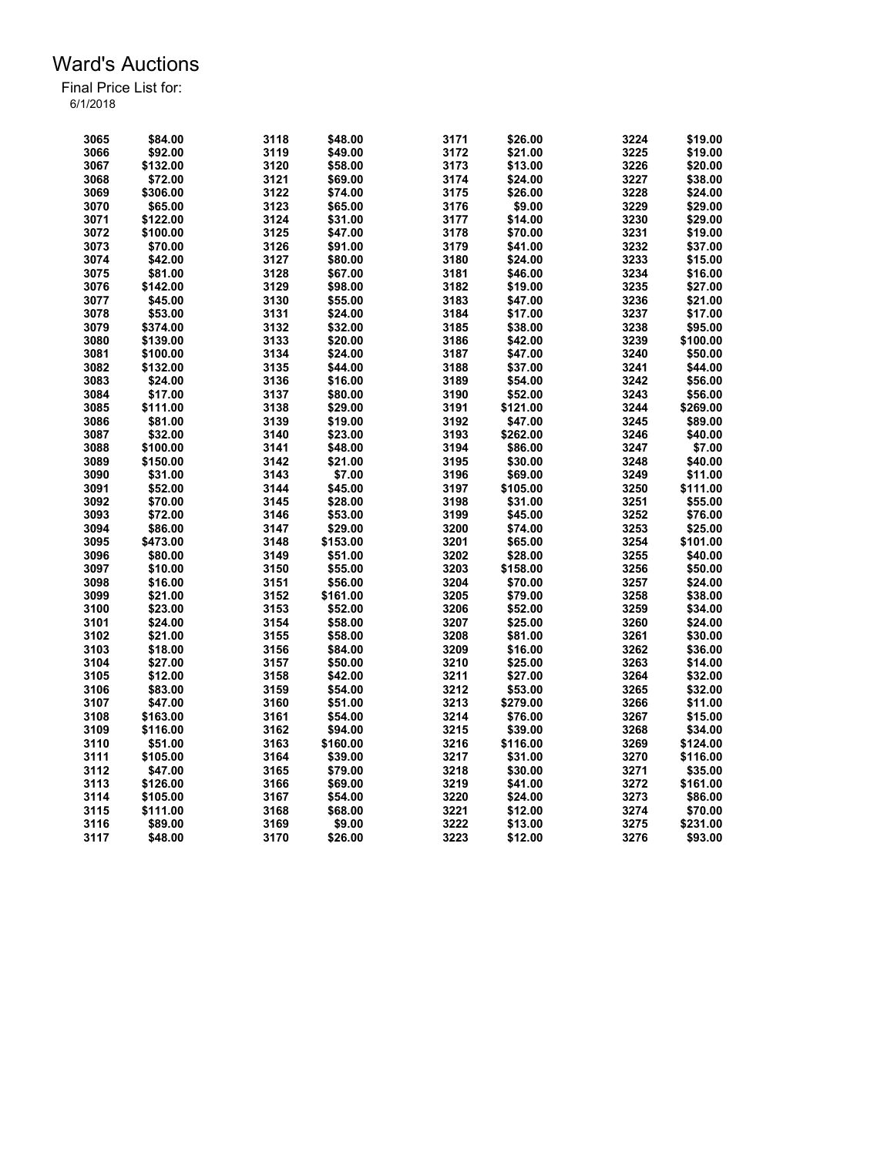| 3065 | \$84.00  | 3118 | \$48.00  | 3171 | \$26.00  | 3224 | \$19.00  |
|------|----------|------|----------|------|----------|------|----------|
| 3066 | \$92.00  | 3119 | \$49.00  | 3172 | \$21.00  | 3225 | \$19.00  |
| 3067 | \$132.00 | 3120 | \$58.00  | 3173 | \$13.00  | 3226 | \$20.00  |
| 3068 | \$72.00  | 3121 | \$69.00  | 3174 | \$24.00  | 3227 | \$38.00  |
| 3069 | \$306.00 | 3122 | \$74.00  | 3175 | \$26.00  | 3228 | \$24.00  |
| 3070 | \$65.00  | 3123 | \$65.00  | 3176 | \$9.00   | 3229 | \$29.00  |
| 3071 | \$122.00 | 3124 | \$31.00  | 3177 | \$14.00  | 3230 | \$29.00  |
| 3072 | \$100.00 | 3125 | \$47.00  | 3178 | \$70.00  | 3231 | \$19.00  |
| 3073 | \$70.00  | 3126 | \$91.00  | 3179 | \$41.00  | 3232 | \$37.00  |
| 3074 | \$42.00  | 3127 | \$80.00  | 3180 | \$24.00  | 3233 | \$15.00  |
| 3075 | \$81.00  | 3128 | \$67.00  | 3181 | \$46.00  | 3234 | \$16.00  |
| 3076 | \$142.00 | 3129 | \$98.00  | 3182 | \$19.00  | 3235 | \$27.00  |
| 3077 | \$45.00  | 3130 | \$55.00  | 3183 | \$47.00  | 3236 | \$21.00  |
| 3078 | \$53.00  | 3131 | \$24.00  | 3184 | \$17.00  | 3237 | \$17.00  |
| 3079 | \$374.00 | 3132 | \$32.00  | 3185 | \$38.00  | 3238 | \$95.00  |
| 3080 | \$139.00 | 3133 | \$20.00  | 3186 | \$42.00  | 3239 | \$100.00 |
| 3081 | \$100.00 | 3134 | \$24.00  | 3187 | \$47.00  | 3240 | \$50.00  |
| 3082 |          | 3135 |          |      |          | 3241 |          |
|      | \$132.00 |      | \$44.00  | 3188 | \$37.00  |      | \$44.00  |
| 3083 | \$24.00  | 3136 | \$16.00  | 3189 | \$54.00  | 3242 | \$56.00  |
| 3084 | \$17.00  | 3137 | \$80.00  | 3190 | \$52.00  | 3243 | \$56.00  |
| 3085 | \$111.00 | 3138 | \$29.00  | 3191 | \$121.00 | 3244 | \$269.00 |
| 3086 | \$81.00  | 3139 | \$19.00  | 3192 | \$47.00  | 3245 | \$89.00  |
| 3087 | \$32.00  | 3140 | \$23.00  | 3193 | \$262.00 | 3246 | \$40.00  |
| 3088 | \$100.00 | 3141 | \$48.00  | 3194 | \$86.00  | 3247 | \$7.00   |
| 3089 | \$150.00 | 3142 | \$21.00  | 3195 | \$30.00  | 3248 | \$40.00  |
| 3090 | \$31.00  | 3143 | \$7.00   | 3196 | \$69.00  | 3249 | \$11.00  |
| 3091 | \$52.00  | 3144 | \$45.00  | 3197 | \$105.00 | 3250 | \$111.00 |
| 3092 | \$70.00  | 3145 | \$28.00  | 3198 | \$31.00  | 3251 | \$55.00  |
| 3093 | \$72.00  | 3146 | \$53.00  | 3199 | \$45.00  | 3252 | \$76.00  |
| 3094 | \$86.00  | 3147 | \$29.00  | 3200 | \$74.00  | 3253 | \$25.00  |
| 3095 | \$473.00 | 3148 | \$153.00 | 3201 | \$65.00  | 3254 | \$101.00 |
| 3096 | \$80.00  | 3149 | \$51.00  | 3202 | \$28.00  | 3255 | \$40.00  |
| 3097 | \$10.00  | 3150 | \$55.00  | 3203 | \$158.00 | 3256 | \$50.00  |
| 3098 | \$16.00  | 3151 | \$56.00  | 3204 | \$70.00  | 3257 | \$24.00  |
| 3099 | \$21.00  | 3152 | \$161.00 | 3205 | \$79.00  | 3258 | \$38.00  |
| 3100 | \$23.00  | 3153 | \$52.00  | 3206 | \$52.00  | 3259 | \$34.00  |
| 3101 | \$24.00  | 3154 | \$58.00  | 3207 | \$25.00  | 3260 | \$24.00  |
| 3102 | \$21.00  | 3155 | \$58.00  | 3208 | \$81.00  | 3261 | \$30.00  |
| 3103 | \$18.00  | 3156 | \$84.00  | 3209 | \$16.00  | 3262 | \$36.00  |
| 3104 | \$27.00  | 3157 | \$50.00  | 3210 | \$25.00  | 3263 | \$14.00  |
| 3105 | \$12.00  | 3158 | \$42.00  | 3211 | \$27.00  | 3264 | \$32.00  |
| 3106 | \$83.00  | 3159 | \$54.00  | 3212 | \$53.00  | 3265 | \$32.00  |
| 3107 | \$47.00  | 3160 | \$51.00  | 3213 | \$279.00 | 3266 | \$11.00  |
| 3108 | \$163.00 | 3161 | \$54.00  | 3214 | \$76.00  | 3267 | \$15.00  |
| 3109 | \$116.00 | 3162 | \$94.00  | 3215 | \$39.00  | 3268 | \$34.00  |
| 3110 | \$51.00  | 3163 | \$160.00 | 3216 | \$116.00 | 3269 | \$124.00 |
| 3111 | \$105.00 | 3164 | \$39.00  | 3217 | \$31.00  | 3270 | \$116.00 |
| 3112 | \$47.00  | 3165 | \$79.00  | 3218 | \$30.00  | 3271 | \$35.00  |
| 3113 | \$126.00 | 3166 | \$69.00  | 3219 | \$41.00  | 3272 | \$161.00 |
| 3114 | \$105.00 | 3167 | \$54.00  | 3220 | \$24.00  | 3273 | \$86.00  |
| 3115 | \$111.00 | 3168 | \$68.00  | 3221 | \$12.00  | 3274 | \$70.00  |
| 3116 | \$89.00  | 3169 | \$9.00   | 3222 | \$13.00  | 3275 | \$231.00 |
| 3117 | \$48.00  | 3170 | \$26.00  | 3223 | \$12.00  | 3276 | \$93.00  |
|      |          |      |          |      |          |      |          |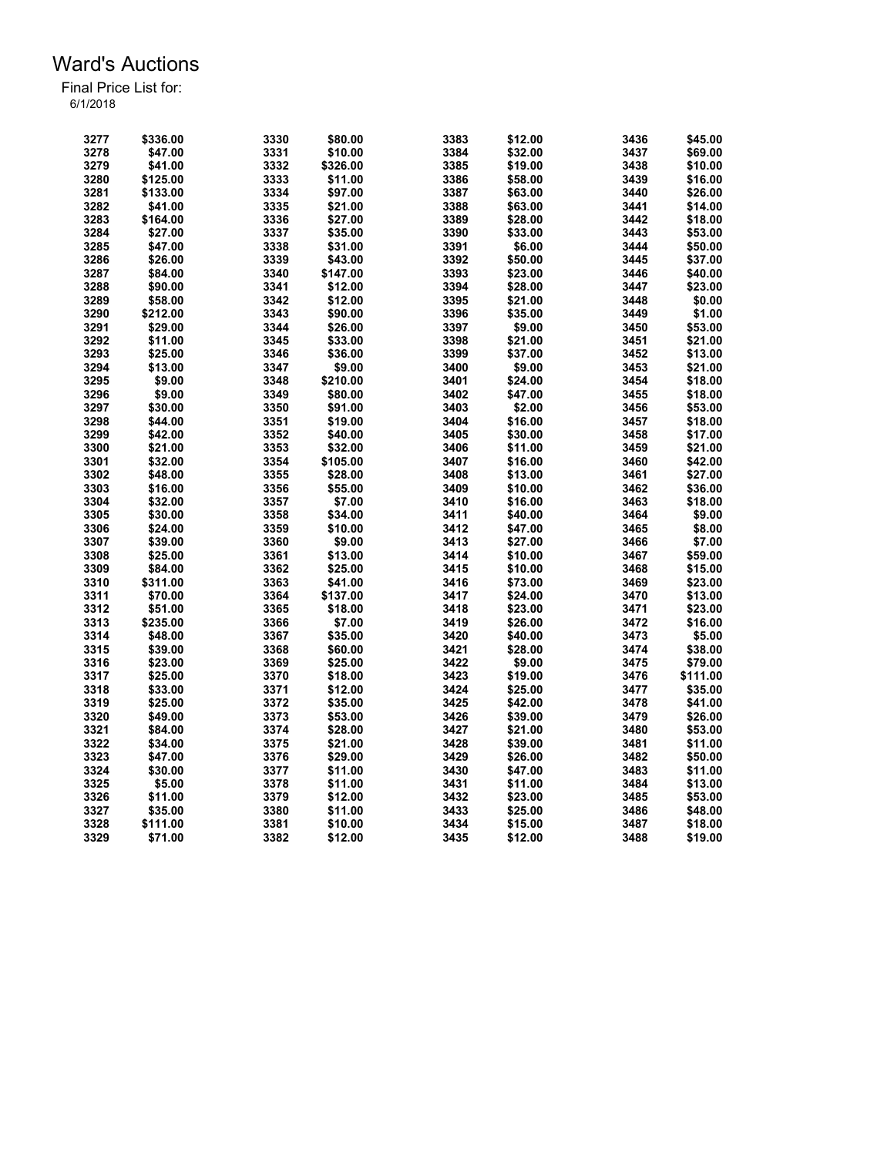| 3277 | \$336.00 | 3330 | \$80.00  | 3383 | \$12.00 | 3436 | \$45.00  |
|------|----------|------|----------|------|---------|------|----------|
| 3278 | \$47.00  | 3331 | \$10.00  | 3384 | \$32.00 | 3437 | \$69.00  |
| 3279 | \$41.00  | 3332 | \$326.00 | 3385 | \$19.00 | 3438 | \$10.00  |
| 3280 | \$125.00 | 3333 | \$11.00  | 3386 | \$58.00 | 3439 | \$16.00  |
| 3281 | \$133.00 | 3334 | \$97.00  | 3387 | \$63.00 | 3440 | \$26.00  |
| 3282 | \$41.00  | 3335 | \$21.00  | 3388 | \$63.00 | 3441 | \$14.00  |
| 3283 | \$164.00 | 3336 | \$27.00  | 3389 | \$28.00 | 3442 | \$18.00  |
| 3284 | \$27.00  | 3337 | \$35.00  | 3390 | \$33.00 | 3443 | \$53.00  |
| 3285 | \$47.00  | 3338 | \$31.00  | 3391 | \$6.00  | 3444 | \$50.00  |
| 3286 | \$26.00  | 3339 | \$43.00  | 3392 | \$50.00 | 3445 | \$37.00  |
| 3287 | \$84.00  | 3340 | \$147.00 | 3393 | \$23.00 | 3446 | \$40.00  |
| 3288 | \$90.00  | 3341 | \$12.00  | 3394 | \$28.00 | 3447 | \$23.00  |
| 3289 | \$58.00  | 3342 | \$12.00  | 3395 | \$21.00 | 3448 | \$0.00   |
| 3290 | \$212.00 | 3343 | \$90.00  | 3396 | \$35.00 | 3449 | \$1.00   |
| 3291 | \$29.00  | 3344 | \$26.00  | 3397 | \$9.00  | 3450 | \$53.00  |
| 3292 | \$11.00  | 3345 | \$33.00  | 3398 | \$21.00 | 3451 | \$21.00  |
| 3293 |          | 3346 | \$36.00  | 3399 | \$37.00 | 3452 | \$13.00  |
|      | \$25.00  |      |          |      |         |      |          |
| 3294 | \$13.00  | 3347 | \$9.00   | 3400 | \$9.00  | 3453 | \$21.00  |
| 3295 | \$9.00   | 3348 | \$210.00 | 3401 | \$24.00 | 3454 | \$18.00  |
| 3296 | \$9.00   | 3349 | \$80.00  | 3402 | \$47.00 | 3455 | \$18.00  |
| 3297 | \$30.00  | 3350 | \$91.00  | 3403 | \$2.00  | 3456 | \$53.00  |
| 3298 | \$44.00  | 3351 | \$19.00  | 3404 | \$16.00 | 3457 | \$18.00  |
| 3299 | \$42.00  | 3352 | \$40.00  | 3405 | \$30.00 | 3458 | \$17.00  |
| 3300 | \$21.00  | 3353 | \$32.00  | 3406 | \$11.00 | 3459 | \$21.00  |
| 3301 | \$32.00  | 3354 | \$105.00 | 3407 | \$16.00 | 3460 | \$42.00  |
| 3302 | \$48.00  | 3355 | \$28.00  | 3408 | \$13.00 | 3461 | \$27.00  |
| 3303 | \$16.00  | 3356 | \$55.00  | 3409 | \$10.00 | 3462 | \$36.00  |
| 3304 | \$32.00  | 3357 | \$7.00   | 3410 | \$16.00 | 3463 | \$18.00  |
| 3305 | \$30.00  | 3358 | \$34.00  | 3411 | \$40.00 | 3464 | \$9.00   |
| 3306 | \$24.00  | 3359 | \$10.00  | 3412 | \$47.00 | 3465 | \$8.00   |
| 3307 | \$39.00  | 3360 | \$9.00   | 3413 | \$27.00 | 3466 | \$7.00   |
| 3308 | \$25.00  | 3361 | \$13.00  | 3414 | \$10.00 | 3467 | \$59.00  |
| 3309 | \$84.00  | 3362 | \$25.00  | 3415 | \$10.00 | 3468 | \$15.00  |
| 3310 | \$311.00 | 3363 | \$41.00  | 3416 | \$73.00 | 3469 | \$23.00  |
| 3311 | \$70.00  | 3364 | \$137.00 | 3417 | \$24.00 | 3470 | \$13.00  |
| 3312 | \$51.00  | 3365 | \$18.00  | 3418 | \$23.00 | 3471 | \$23.00  |
| 3313 | \$235.00 | 3366 | \$7.00   | 3419 | \$26.00 | 3472 | \$16.00  |
| 3314 | \$48.00  | 3367 | \$35.00  | 3420 | \$40.00 | 3473 | \$5.00   |
| 3315 | \$39.00  | 3368 | \$60.00  | 3421 | \$28.00 | 3474 | \$38.00  |
| 3316 | \$23.00  | 3369 | \$25.00  | 3422 | \$9.00  | 3475 | \$79.00  |
| 3317 | \$25.00  | 3370 | \$18.00  | 3423 | \$19.00 | 3476 | \$111.00 |
| 3318 | \$33.00  | 3371 | \$12.00  | 3424 | \$25.00 | 3477 | \$35.00  |
| 3319 | \$25.00  | 3372 | \$35.00  | 3425 | \$42.00 | 3478 | \$41.00  |
| 3320 | \$49.00  | 3373 | \$53.00  | 3426 | \$39.00 | 3479 | \$26.00  |
| 3321 | \$84.00  | 3374 | \$28.00  | 3427 | \$21.00 | 3480 | \$53.00  |
|      |          |      |          |      |         |      |          |
| 3322 | \$34.00  | 3375 | \$21.00  | 3428 | \$39.00 | 3481 | \$11.00  |
| 3323 | \$47.00  | 3376 | \$29.00  | 3429 | \$26.00 | 3482 | \$50.00  |
| 3324 | \$30.00  | 3377 | \$11.00  | 3430 | \$47.00 | 3483 | \$11.00  |
| 3325 | \$5.00   | 3378 | \$11.00  | 3431 | \$11.00 | 3484 | \$13.00  |
| 3326 | \$11.00  | 3379 | \$12.00  | 3432 | \$23.00 | 3485 | \$53.00  |
| 3327 | \$35.00  | 3380 | \$11.00  | 3433 | \$25.00 | 3486 | \$48.00  |
| 3328 | \$111.00 | 3381 | \$10.00  | 3434 | \$15.00 | 3487 | \$18.00  |
| 3329 | \$71.00  | 3382 | \$12.00  | 3435 | \$12.00 | 3488 | \$19.00  |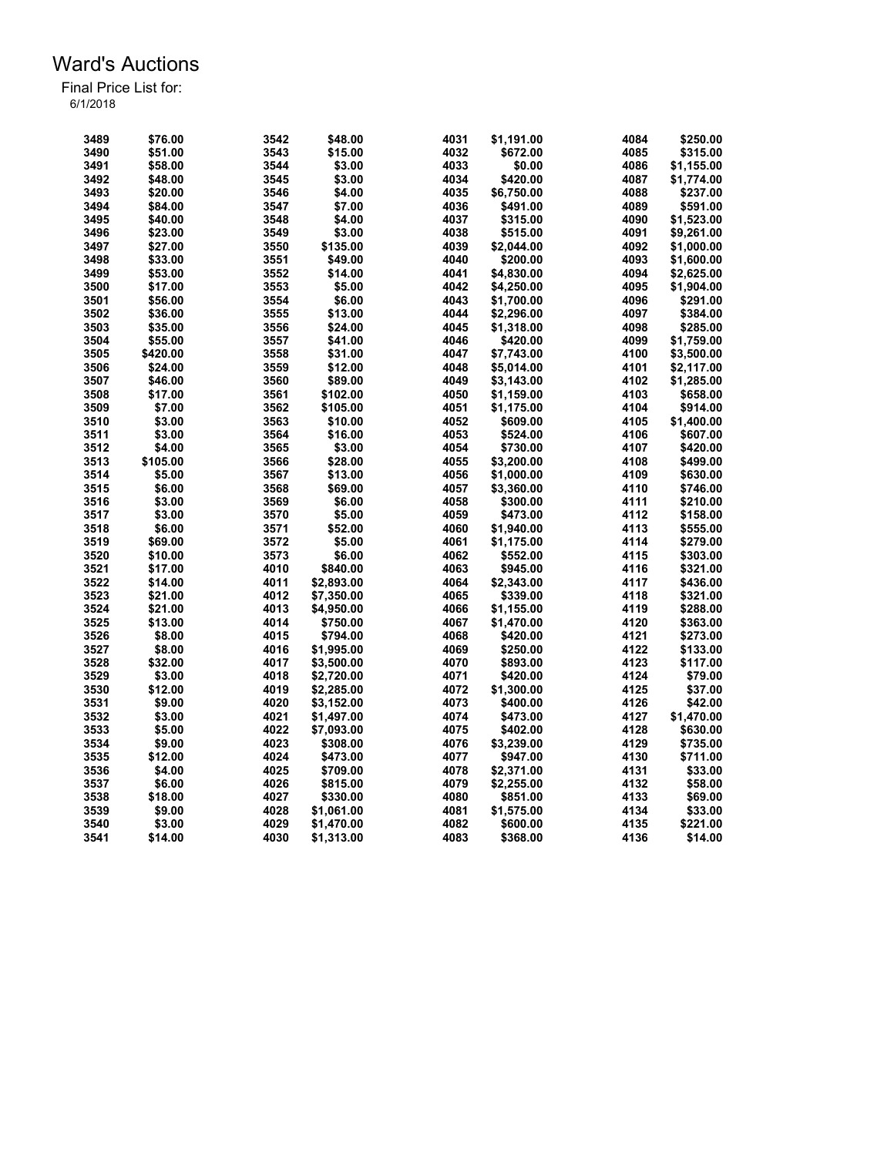| 3489 | \$76.00  | 3542 | \$48.00    | 4031 | \$1,191.00 | 4084 | \$250.00   |
|------|----------|------|------------|------|------------|------|------------|
| 3490 | \$51.00  | 3543 | \$15.00    | 4032 | \$672.00   | 4085 | \$315.00   |
| 3491 | \$58.00  | 3544 | \$3.00     | 4033 | \$0.00     | 4086 | \$1,155.00 |
|      |          |      |            |      |            |      |            |
| 3492 | \$48.00  | 3545 | \$3.00     | 4034 | \$420.00   | 4087 | \$1,774.00 |
| 3493 | \$20.00  | 3546 | \$4.00     | 4035 | \$6,750.00 | 4088 | \$237.00   |
| 3494 | \$84.00  | 3547 | \$7.00     | 4036 | \$491.00   | 4089 | \$591.00   |
| 3495 | \$40.00  | 3548 | \$4.00     | 4037 | \$315.00   | 4090 | \$1,523.00 |
| 3496 | \$23.00  | 3549 | \$3.00     | 4038 | \$515.00   | 4091 | \$9.261.00 |
| 3497 | \$27.00  | 3550 | \$135.00   | 4039 | \$2,044.00 | 4092 | \$1,000.00 |
| 3498 | \$33.00  | 3551 | \$49.00    | 4040 | \$200.00   | 4093 | \$1,600.00 |
| 3499 | \$53.00  | 3552 | \$14.00    | 4041 | \$4,830.00 | 4094 | \$2,625.00 |
| 3500 | \$17.00  | 3553 | \$5.00     | 4042 | \$4,250.00 | 4095 | \$1,904.00 |
| 3501 | \$56.00  | 3554 | \$6.00     | 4043 | \$1,700.00 | 4096 | \$291.00   |
| 3502 | \$36.00  | 3555 | \$13.00    | 4044 | \$2,296.00 | 4097 | \$384.00   |
| 3503 | \$35.00  | 3556 | \$24.00    | 4045 | \$1,318.00 | 4098 | \$285.00   |
| 3504 | \$55.00  | 3557 | \$41.00    | 4046 | \$420.00   | 4099 | \$1,759.00 |
| 3505 | \$420.00 | 3558 | \$31.00    | 4047 | \$7,743.00 | 4100 | \$3,500.00 |
| 3506 | \$24.00  | 3559 | \$12.00    | 4048 | \$5,014.00 | 4101 | \$2,117.00 |
| 3507 | \$46.00  | 3560 | \$89.00    | 4049 | \$3,143.00 | 4102 | \$1,285.00 |
| 3508 | \$17.00  | 3561 | \$102.00   | 4050 | \$1,159.00 | 4103 | \$658.00   |
| 3509 | \$7.00   | 3562 | \$105.00   | 4051 | \$1,175.00 | 4104 | \$914.00   |
| 3510 | \$3.00   | 3563 | \$10.00    | 4052 | \$609.00   | 4105 | \$1,400.00 |
| 3511 | \$3.00   | 3564 | \$16.00    | 4053 | \$524.00   | 4106 | \$607.00   |
| 3512 | \$4.00   | 3565 | \$3.00     | 4054 | \$730.00   | 4107 | \$420.00   |
| 3513 | \$105.00 | 3566 | \$28.00    | 4055 | \$3,200.00 | 4108 | \$499.00   |
| 3514 | \$5.00   | 3567 | \$13.00    | 4056 | \$1,000.00 | 4109 | \$630.00   |
|      |          |      |            | 4057 |            | 4110 |            |
| 3515 | \$6.00   | 3568 | \$69.00    |      | \$3,360.00 |      | \$746.00   |
| 3516 | \$3.00   | 3569 | \$6.00     | 4058 | \$300.00   | 4111 | \$210.00   |
| 3517 | \$3.00   | 3570 | \$5.00     | 4059 | \$473.00   | 4112 | \$158.00   |
| 3518 | \$6.00   | 3571 | \$52.00    | 4060 | \$1,940.00 | 4113 | \$555.00   |
| 3519 | \$69.00  | 3572 | \$5.00     | 4061 | \$1,175.00 | 4114 | \$279.00   |
| 3520 | \$10.00  | 3573 | \$6.00     | 4062 | \$552.00   | 4115 | \$303.00   |
| 3521 | \$17.00  | 4010 | \$840.00   | 4063 | \$945.00   | 4116 | \$321.00   |
| 3522 | \$14.00  | 4011 | \$2,893.00 | 4064 | \$2,343.00 | 4117 | \$436.00   |
| 3523 | \$21.00  | 4012 | \$7,350.00 | 4065 | \$339.00   | 4118 | \$321.00   |
| 3524 | \$21.00  | 4013 | \$4,950.00 | 4066 | \$1,155.00 | 4119 | \$288.00   |
| 3525 | \$13.00  | 4014 | \$750.00   | 4067 | \$1,470.00 | 4120 | \$363.00   |
| 3526 | \$8.00   | 4015 | \$794.00   | 4068 | \$420.00   | 4121 | \$273.00   |
| 3527 | \$8.00   | 4016 | \$1,995.00 | 4069 | \$250.00   | 4122 | \$133.00   |
| 3528 | \$32.00  | 4017 | \$3,500.00 | 4070 | \$893.00   | 4123 | \$117.00   |
| 3529 | \$3.00   | 4018 | \$2,720.00 | 4071 | \$420.00   | 4124 | \$79.00    |
| 3530 | \$12.00  | 4019 | \$2,285.00 | 4072 | \$1,300.00 | 4125 | \$37.00    |
| 3531 | \$9.00   | 4020 | \$3,152.00 | 4073 | \$400.00   | 4126 | \$42.00    |
| 3532 | \$3.00   | 4021 | \$1,497.00 | 4074 | \$473.00   | 4127 | \$1,470.00 |
| 3533 | \$5.00   | 4022 | \$7,093.00 | 4075 | \$402.00   | 4128 | \$630.00   |
| 3534 | \$9.00   | 4023 | \$308.00   | 4076 | \$3,239.00 | 4129 | \$735.00   |
| 3535 | \$12.00  | 4024 | \$473.00   | 4077 | \$947.00   | 4130 | \$711.00   |
| 3536 | \$4.00   | 4025 | \$709.00   | 4078 | \$2,371.00 | 4131 | \$33.00    |
| 3537 | \$6.00   | 4026 | \$815.00   | 4079 | \$2,255.00 | 4132 | \$58.00    |
| 3538 | \$18.00  | 4027 | \$330.00   | 4080 | \$851.00   | 4133 | \$69.00    |
| 3539 | \$9.00   | 4028 | \$1,061.00 | 4081 | \$1,575.00 | 4134 | \$33.00    |
| 3540 | \$3.00   | 4029 | \$1,470.00 | 4082 | \$600.00   | 4135 | \$221.00   |
|      |          |      |            |      |            |      |            |
| 3541 | \$14.00  | 4030 | \$1,313.00 | 4083 | \$368.00   | 4136 | \$14.00    |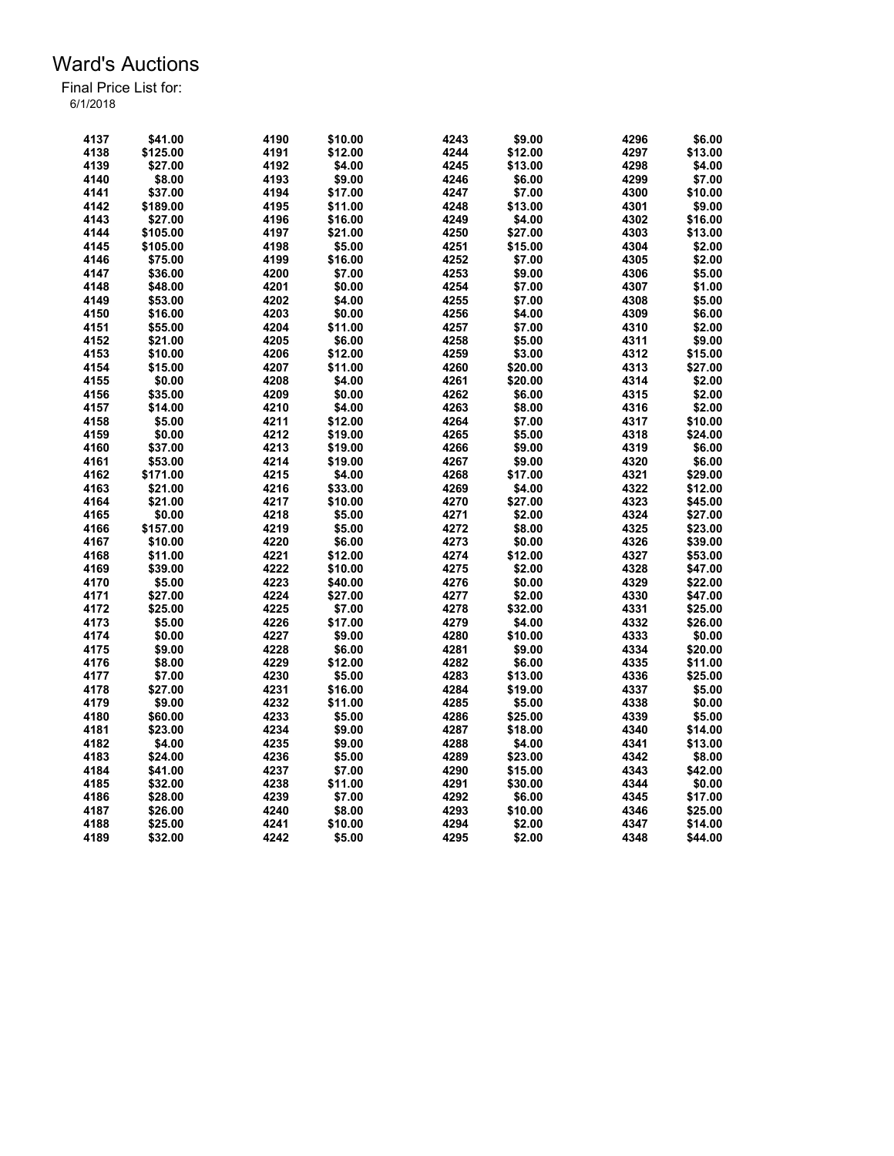| 4137 | \$41.00  | 4190 | \$10.00 | 4243 | \$9.00  | 4296 | \$6.00  |
|------|----------|------|---------|------|---------|------|---------|
| 4138 | \$125.00 | 4191 | \$12.00 | 4244 | \$12.00 | 4297 | \$13.00 |
| 4139 | \$27.00  | 4192 | \$4.00  | 4245 | \$13.00 | 4298 | \$4.00  |
| 4140 | \$8.00   | 4193 | \$9.00  | 4246 | \$6.00  | 4299 | \$7.00  |
| 4141 | \$37.00  | 4194 | \$17.00 | 4247 | \$7.00  | 4300 | \$10.00 |
| 4142 | \$189.00 | 4195 | \$11.00 | 4248 | \$13.00 | 4301 | \$9.00  |
| 4143 | \$27.00  | 4196 | \$16.00 | 4249 | \$4.00  | 4302 | \$16.00 |
| 4144 | \$105.00 | 4197 | \$21.00 | 4250 | \$27.00 | 4303 | \$13.00 |
| 4145 | \$105.00 | 4198 | \$5.00  | 4251 | \$15.00 | 4304 | \$2.00  |
| 4146 | \$75.00  | 4199 | \$16.00 | 4252 | \$7.00  | 4305 | \$2.00  |
| 4147 | \$36.00  | 4200 | \$7.00  | 4253 | \$9.00  | 4306 | \$5.00  |
| 4148 | \$48.00  | 4201 | \$0.00  | 4254 | \$7.00  | 4307 | \$1.00  |
| 4149 | \$53.00  | 4202 | \$4.00  | 4255 | \$7.00  | 4308 | \$5.00  |
| 4150 | \$16.00  | 4203 | \$0.00  | 4256 | \$4.00  | 4309 | \$6.00  |
| 4151 | \$55.00  | 4204 | \$11.00 | 4257 | \$7.00  | 4310 | \$2.00  |
| 4152 | \$21.00  | 4205 | \$6.00  | 4258 | \$5.00  | 4311 | \$9.00  |
| 4153 | \$10.00  | 4206 | \$12.00 | 4259 | \$3.00  | 4312 | \$15.00 |
| 4154 | \$15.00  | 4207 | \$11.00 | 4260 | \$20.00 | 4313 | \$27.00 |
| 4155 | \$0.00   | 4208 | \$4.00  | 4261 | \$20.00 | 4314 | \$2.00  |
| 4156 | \$35.00  | 4209 | \$0.00  | 4262 | \$6.00  | 4315 | \$2.00  |
|      |          | 4210 |         | 4263 |         | 4316 |         |
| 4157 | \$14.00  |      | \$4.00  | 4264 | \$8.00  |      | \$2.00  |
| 4158 | \$5.00   | 4211 | \$12.00 |      | \$7.00  | 4317 | \$10.00 |
| 4159 | \$0.00   | 4212 | \$19.00 | 4265 | \$5.00  | 4318 | \$24.00 |
| 4160 | \$37.00  | 4213 | \$19.00 | 4266 | \$9.00  | 4319 | \$6.00  |
| 4161 | \$53.00  | 4214 | \$19.00 | 4267 | \$9.00  | 4320 | \$6.00  |
| 4162 | \$171.00 | 4215 | \$4.00  | 4268 | \$17.00 | 4321 | \$29.00 |
| 4163 | \$21.00  | 4216 | \$33.00 | 4269 | \$4.00  | 4322 | \$12.00 |
| 4164 | \$21.00  | 4217 | \$10.00 | 4270 | \$27.00 | 4323 | \$45.00 |
| 4165 | \$0.00   | 4218 | \$5.00  | 4271 | \$2.00  | 4324 | \$27.00 |
| 4166 | \$157.00 | 4219 | \$5.00  | 4272 | \$8.00  | 4325 | \$23.00 |
| 4167 | \$10.00  | 4220 | \$6.00  | 4273 | \$0.00  | 4326 | \$39.00 |
| 4168 | \$11.00  | 4221 | \$12.00 | 4274 | \$12.00 | 4327 | \$53.00 |
| 4169 | \$39.00  | 4222 | \$10.00 | 4275 | \$2.00  | 4328 | \$47.00 |
| 4170 | \$5.00   | 4223 | \$40.00 | 4276 | \$0.00  | 4329 | \$22.00 |
| 4171 | \$27.00  | 4224 | \$27.00 | 4277 | \$2.00  | 4330 | \$47.00 |
| 4172 | \$25.00  | 4225 | \$7.00  | 4278 | \$32.00 | 4331 | \$25.00 |
| 4173 | \$5.00   | 4226 | \$17.00 | 4279 | \$4.00  | 4332 | \$26.00 |
| 4174 | \$0.00   | 4227 | \$9.00  | 4280 | \$10.00 | 4333 | \$0.00  |
| 4175 | \$9.00   | 4228 | \$6.00  | 4281 | \$9.00  | 4334 | \$20.00 |
| 4176 | \$8.00   | 4229 | \$12.00 | 4282 | \$6.00  | 4335 | \$11.00 |
| 4177 | \$7.00   | 4230 | \$5.00  | 4283 | \$13.00 | 4336 | \$25.00 |
| 4178 | \$27.00  | 4231 | \$16.00 | 4284 | \$19.00 | 4337 | \$5.00  |
| 4179 | \$9.00   | 4232 | \$11.00 | 4285 | \$5.00  | 4338 | \$0.00  |
| 4180 | \$60.00  | 4233 | \$5.00  | 4286 | \$25.00 | 4339 | \$5.00  |
| 4181 | \$23.00  | 4234 | \$9.00  | 4287 | \$18.00 | 4340 | \$14.00 |
| 4182 | \$4.00   | 4235 | \$9.00  | 4288 | \$4.00  | 4341 | \$13.00 |
| 4183 | \$24.00  | 4236 | \$5.00  | 4289 | \$23.00 | 4342 | \$8.00  |
| 4184 | \$41.00  | 4237 | \$7.00  | 4290 | \$15.00 | 4343 | \$42.00 |
| 4185 | \$32.00  | 4238 | \$11.00 | 4291 | \$30.00 | 4344 | \$0.00  |
| 4186 | \$28.00  | 4239 | \$7.00  | 4292 | \$6.00  | 4345 | \$17.00 |
| 4187 | \$26.00  | 4240 | \$8.00  | 4293 | \$10.00 | 4346 | \$25.00 |
| 4188 | \$25.00  | 4241 | \$10.00 | 4294 | \$2.00  | 4347 | \$14.00 |
| 4189 | \$32.00  | 4242 | \$5.00  | 4295 | \$2.00  | 4348 | \$44.00 |
|      |          |      |         |      |         |      |         |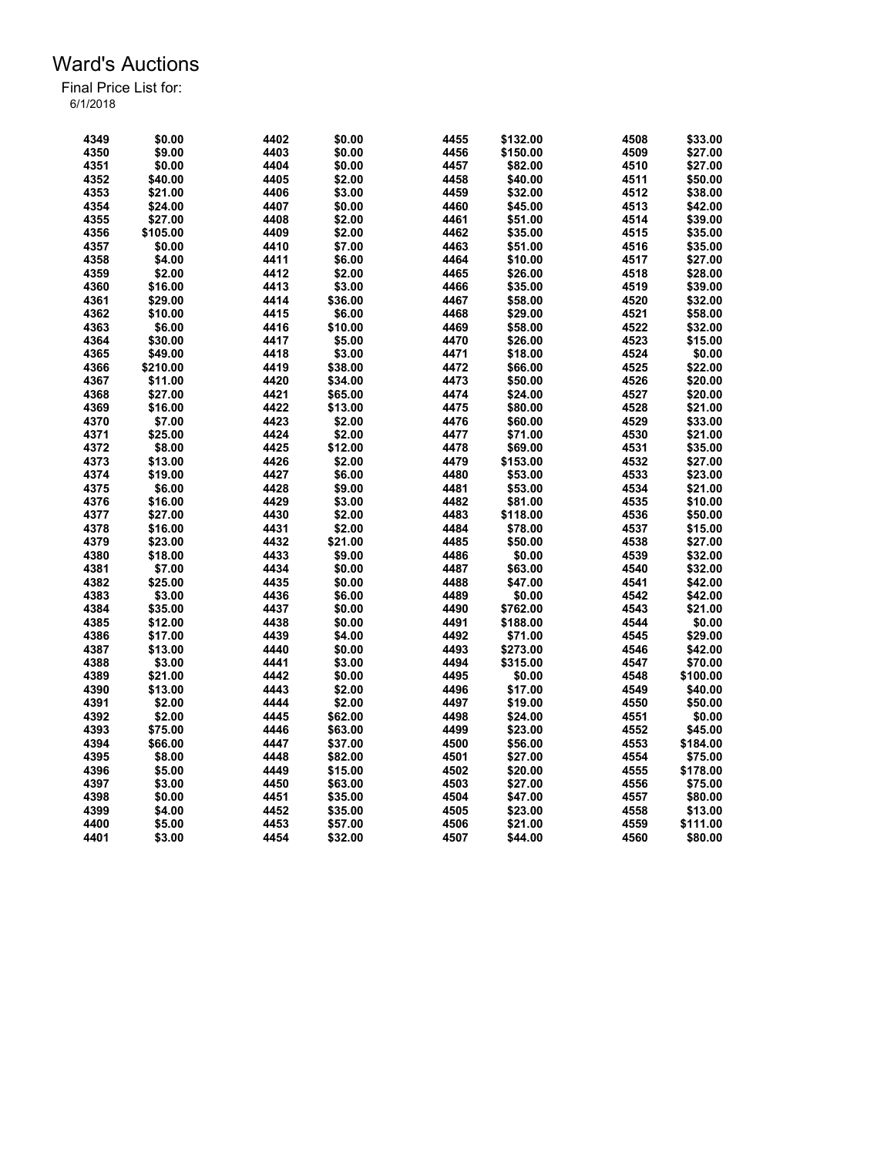| 4349 | \$0.00   | 4402 | \$0.00  | 4455 | \$132.00 | 4508 | \$33.00  |
|------|----------|------|---------|------|----------|------|----------|
| 4350 | \$9.00   | 4403 | \$0.00  | 4456 | \$150.00 | 4509 | \$27.00  |
| 4351 | \$0.00   | 4404 | \$0.00  | 4457 | \$82.00  | 4510 | \$27.00  |
| 4352 | \$40.00  | 4405 | \$2.00  | 4458 | \$40.00  | 4511 | \$50.00  |
| 4353 | \$21.00  | 4406 | \$3.00  | 4459 | \$32.00  | 4512 | \$38.00  |
| 4354 | \$24.00  | 4407 | \$0.00  | 4460 | \$45.00  | 4513 | \$42.00  |
| 4355 | \$27.00  | 4408 | \$2.00  | 4461 | \$51.00  | 4514 | \$39.00  |
| 4356 | \$105.00 | 4409 | \$2.00  | 4462 | \$35.00  | 4515 | \$35.00  |
| 4357 | \$0.00   | 4410 | \$7.00  | 4463 | \$51.00  | 4516 | \$35.00  |
| 4358 | \$4.00   | 4411 | \$6.00  | 4464 | \$10.00  | 4517 | \$27.00  |
| 4359 | \$2.00   | 4412 | \$2.00  | 4465 | \$26.00  | 4518 | \$28.00  |
| 4360 | \$16.00  | 4413 | \$3.00  | 4466 | \$35.00  | 4519 | \$39.00  |
| 4361 | \$29.00  | 4414 | \$36.00 | 4467 | \$58.00  | 4520 | \$32.00  |
| 4362 | \$10.00  | 4415 | \$6.00  | 4468 | \$29.00  | 4521 | \$58.00  |
| 4363 | \$6.00   | 4416 | \$10.00 | 4469 | \$58.00  | 4522 | \$32.00  |
| 4364 | \$30.00  | 4417 | \$5.00  | 4470 | \$26.00  | 4523 | \$15.00  |
| 4365 | \$49.00  | 4418 | \$3.00  | 4471 | \$18.00  | 4524 | \$0.00   |
| 4366 | \$210.00 | 4419 | \$38.00 | 4472 | \$66.00  | 4525 | \$22.00  |
| 4367 |          | 4420 | \$34.00 | 4473 | \$50.00  | 4526 | \$20.00  |
|      | \$11.00  |      |         |      |          |      |          |
| 4368 | \$27.00  | 4421 | \$65.00 | 4474 | \$24.00  | 4527 | \$20.00  |
| 4369 | \$16.00  | 4422 | \$13.00 | 4475 | \$80.00  | 4528 | \$21.00  |
| 4370 | \$7.00   | 4423 | \$2.00  | 4476 | \$60.00  | 4529 | \$33.00  |
| 4371 | \$25.00  | 4424 | \$2.00  | 4477 | \$71.00  | 4530 | \$21.00  |
| 4372 | \$8.00   | 4425 | \$12.00 | 4478 | \$69.00  | 4531 | \$35.00  |
| 4373 | \$13.00  | 4426 | \$2.00  | 4479 | \$153.00 | 4532 | \$27.00  |
| 4374 | \$19.00  | 4427 | \$6.00  | 4480 | \$53.00  | 4533 | \$23.00  |
| 4375 | \$6.00   | 4428 | \$9.00  | 4481 | \$53.00  | 4534 | \$21.00  |
| 4376 | \$16.00  | 4429 | \$3.00  | 4482 | \$81.00  | 4535 | \$10.00  |
| 4377 | \$27.00  | 4430 | \$2.00  | 4483 | \$118.00 | 4536 | \$50.00  |
| 4378 | \$16.00  | 4431 | \$2.00  | 4484 | \$78.00  | 4537 | \$15.00  |
| 4379 | \$23.00  | 4432 | \$21.00 | 4485 | \$50.00  | 4538 | \$27.00  |
| 4380 | \$18.00  | 4433 | \$9.00  | 4486 | \$0.00   | 4539 | \$32.00  |
| 4381 | \$7.00   | 4434 | \$0.00  | 4487 | \$63.00  | 4540 | \$32.00  |
| 4382 | \$25.00  | 4435 | \$0.00  | 4488 | \$47.00  | 4541 | \$42.00  |
| 4383 | \$3.00   | 4436 | \$6.00  | 4489 | \$0.00   | 4542 | \$42.00  |
| 4384 | \$35.00  | 4437 | \$0.00  | 4490 | \$762.00 | 4543 | \$21.00  |
| 4385 | \$12.00  | 4438 | \$0.00  | 4491 | \$188.00 | 4544 | \$0.00   |
| 4386 | \$17.00  | 4439 | \$4.00  | 4492 | \$71.00  | 4545 | \$29.00  |
| 4387 | \$13.00  | 4440 | \$0.00  | 4493 | \$273.00 | 4546 | \$42.00  |
| 4388 | \$3.00   | 4441 | \$3.00  | 4494 | \$315.00 | 4547 | \$70.00  |
| 4389 | \$21.00  | 4442 | \$0.00  | 4495 | \$0.00   | 4548 | \$100.00 |
| 4390 | \$13.00  | 4443 | \$2.00  | 4496 | \$17.00  | 4549 | \$40.00  |
| 4391 | \$2.00   | 4444 | \$2.00  | 4497 | \$19.00  | 4550 | \$50.00  |
| 4392 | \$2.00   | 4445 | \$62.00 | 4498 | \$24.00  | 4551 | \$0.00   |
| 4393 | \$75.00  | 4446 | \$63.00 | 4499 | \$23.00  | 4552 | \$45.00  |
| 4394 | \$66.00  | 4447 | \$37.00 | 4500 | \$56.00  | 4553 | \$184.00 |
| 4395 | \$8.00   | 4448 | \$82.00 | 4501 | \$27.00  | 4554 | \$75.00  |
| 4396 | \$5.00   | 4449 | \$15.00 | 4502 | \$20.00  | 4555 | \$178.00 |
| 4397 | \$3.00   | 4450 | \$63.00 | 4503 | \$27.00  | 4556 | \$75.00  |
| 4398 | \$0.00   | 4451 | \$35.00 | 4504 | \$47.00  | 4557 | \$80.00  |
| 4399 | \$4.00   | 4452 | \$35.00 | 4505 | \$23.00  | 4558 | \$13.00  |
| 4400 | \$5.00   | 4453 | \$57.00 | 4506 | \$21.00  | 4559 | \$111.00 |
| 4401 | \$3.00   | 4454 | \$32.00 | 4507 | \$44.00  | 4560 | \$80.00  |
|      |          |      |         |      |          |      |          |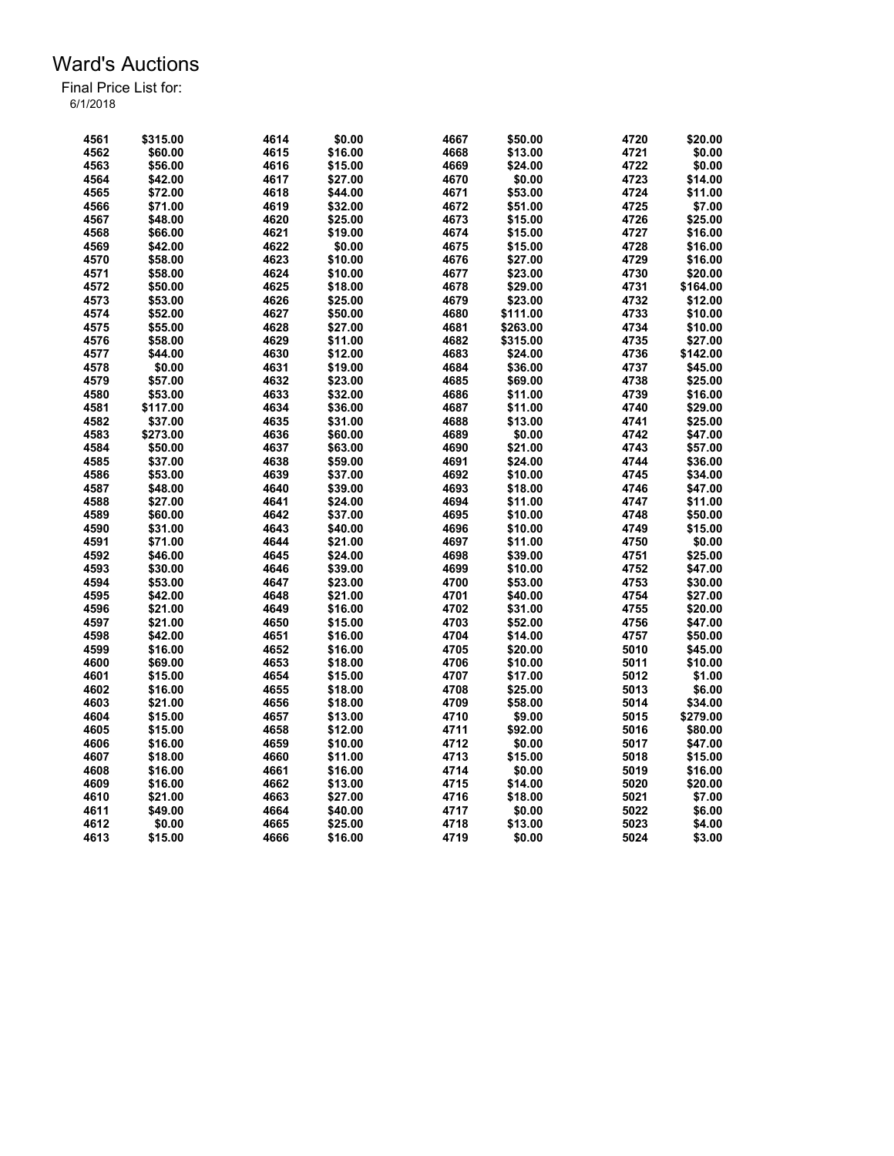| 4561 | \$315.00 | 4614 | \$0.00  | 4667 | \$50.00  | 4720 | \$20.00  |
|------|----------|------|---------|------|----------|------|----------|
| 4562 | \$60.00  | 4615 | \$16.00 | 4668 | \$13.00  | 4721 | \$0.00   |
| 4563 | \$56.00  | 4616 | \$15.00 | 4669 | \$24.00  | 4722 | \$0.00   |
| 4564 | \$42.00  | 4617 | \$27.00 | 4670 | \$0.00   | 4723 | \$14.00  |
| 4565 | \$72.00  | 4618 | \$44.00 | 4671 | \$53.00  | 4724 | \$11.00  |
| 4566 | \$71.00  | 4619 | \$32.00 | 4672 | \$51.00  | 4725 | \$7.00   |
| 4567 | \$48.00  | 4620 | \$25.00 | 4673 | \$15.00  | 4726 | \$25.00  |
| 4568 | \$66.00  | 4621 | \$19.00 | 4674 | \$15.00  | 4727 | \$16.00  |
| 4569 | \$42.00  | 4622 | \$0.00  | 4675 | \$15.00  | 4728 | \$16.00  |
| 4570 | \$58.00  | 4623 | \$10.00 | 4676 | \$27.00  | 4729 | \$16.00  |
| 4571 | \$58.00  | 4624 | \$10.00 | 4677 | \$23.00  | 4730 | \$20.00  |
| 4572 | \$50.00  | 4625 | \$18.00 | 4678 | \$29.00  | 4731 | \$164.00 |
| 4573 | \$53.00  | 4626 | \$25.00 | 4679 | \$23.00  | 4732 | \$12.00  |
| 4574 | \$52.00  | 4627 | \$50.00 | 4680 | \$111.00 | 4733 | \$10.00  |
| 4575 | \$55.00  | 4628 | \$27.00 | 4681 | \$263.00 | 4734 | \$10.00  |
| 4576 | \$58.00  | 4629 | \$11.00 | 4682 | \$315.00 | 4735 | \$27.00  |
| 4577 | \$44.00  | 4630 | \$12.00 | 4683 | \$24.00  | 4736 | \$142.00 |
| 4578 | \$0.00   | 4631 | \$19.00 | 4684 | \$36.00  | 4737 | \$45.00  |
|      |          |      |         |      |          |      |          |
| 4579 | \$57.00  | 4632 | \$23.00 | 4685 | \$69.00  | 4738 | \$25.00  |
| 4580 | \$53.00  | 4633 | \$32.00 | 4686 | \$11.00  | 4739 | \$16.00  |
| 4581 | \$117.00 | 4634 | \$36.00 | 4687 | \$11.00  | 4740 | \$29.00  |
| 4582 | \$37.00  | 4635 | \$31.00 | 4688 | \$13.00  | 4741 | \$25.00  |
| 4583 | \$273.00 | 4636 | \$60.00 | 4689 | \$0.00   | 4742 | \$47.00  |
| 4584 | \$50.00  | 4637 | \$63.00 | 4690 | \$21.00  | 4743 | \$57.00  |
| 4585 | \$37.00  | 4638 | \$59.00 | 4691 | \$24.00  | 4744 | \$36.00  |
| 4586 | \$53.00  | 4639 | \$37.00 | 4692 | \$10.00  | 4745 | \$34.00  |
| 4587 | \$48.00  | 4640 | \$39.00 | 4693 | \$18.00  | 4746 | \$47.00  |
| 4588 | \$27.00  | 4641 | \$24.00 | 4694 | \$11.00  | 4747 | \$11.00  |
| 4589 | \$60.00  | 4642 | \$37.00 | 4695 | \$10.00  | 4748 | \$50.00  |
| 4590 | \$31.00  | 4643 | \$40.00 | 4696 | \$10.00  | 4749 | \$15.00  |
| 4591 | \$71.00  | 4644 | \$21.00 | 4697 | \$11.00  | 4750 | \$0.00   |
| 4592 | \$46.00  | 4645 | \$24.00 | 4698 | \$39.00  | 4751 | \$25.00  |
| 4593 | \$30.00  | 4646 | \$39.00 | 4699 | \$10.00  | 4752 | \$47.00  |
| 4594 | \$53.00  | 4647 | \$23.00 | 4700 | \$53.00  | 4753 | \$30.00  |
| 4595 | \$42.00  | 4648 | \$21.00 | 4701 | \$40.00  | 4754 | \$27.00  |
| 4596 | \$21.00  | 4649 | \$16.00 | 4702 | \$31.00  | 4755 | \$20.00  |
| 4597 | \$21.00  | 4650 | \$15.00 | 4703 | \$52.00  | 4756 | \$47.00  |
| 4598 | \$42.00  | 4651 | \$16.00 | 4704 | \$14.00  | 4757 | \$50.00  |
| 4599 | \$16.00  | 4652 | \$16.00 | 4705 | \$20.00  | 5010 | \$45.00  |
| 4600 | \$69.00  | 4653 | \$18.00 | 4706 | \$10.00  | 5011 | \$10.00  |
| 4601 | \$15.00  | 4654 | \$15.00 | 4707 | \$17.00  | 5012 | \$1.00   |
| 4602 | \$16.00  | 4655 | \$18.00 | 4708 | \$25.00  | 5013 | \$6.00   |
| 4603 | \$21.00  | 4656 | \$18.00 | 4709 | \$58.00  | 5014 | \$34.00  |
| 4604 | \$15.00  | 4657 | \$13.00 | 4710 | \$9.00   | 5015 | \$279.00 |
| 4605 | \$15.00  | 4658 | \$12.00 | 4711 | \$92.00  | 5016 | \$80.00  |
| 4606 | \$16.00  | 4659 | \$10.00 | 4712 | \$0.00   | 5017 | \$47.00  |
| 4607 | \$18.00  | 4660 | \$11.00 | 4713 | \$15.00  | 5018 | \$15.00  |
| 4608 | \$16.00  | 4661 | \$16.00 | 4714 | \$0.00   | 5019 | \$16.00  |
| 4609 | \$16.00  | 4662 | \$13.00 | 4715 | \$14.00  | 5020 | \$20.00  |
| 4610 | \$21.00  | 4663 | \$27.00 | 4716 | \$18.00  | 5021 | \$7.00   |
| 4611 | \$49.00  | 4664 | \$40.00 | 4717 | \$0.00   | 5022 | \$6.00   |
| 4612 | \$0.00   | 4665 | \$25.00 | 4718 | \$13.00  | 5023 | \$4.00   |
| 4613 | \$15.00  | 4666 | \$16.00 | 4719 | \$0.00   | 5024 | \$3.00   |
|      |          |      |         |      |          |      |          |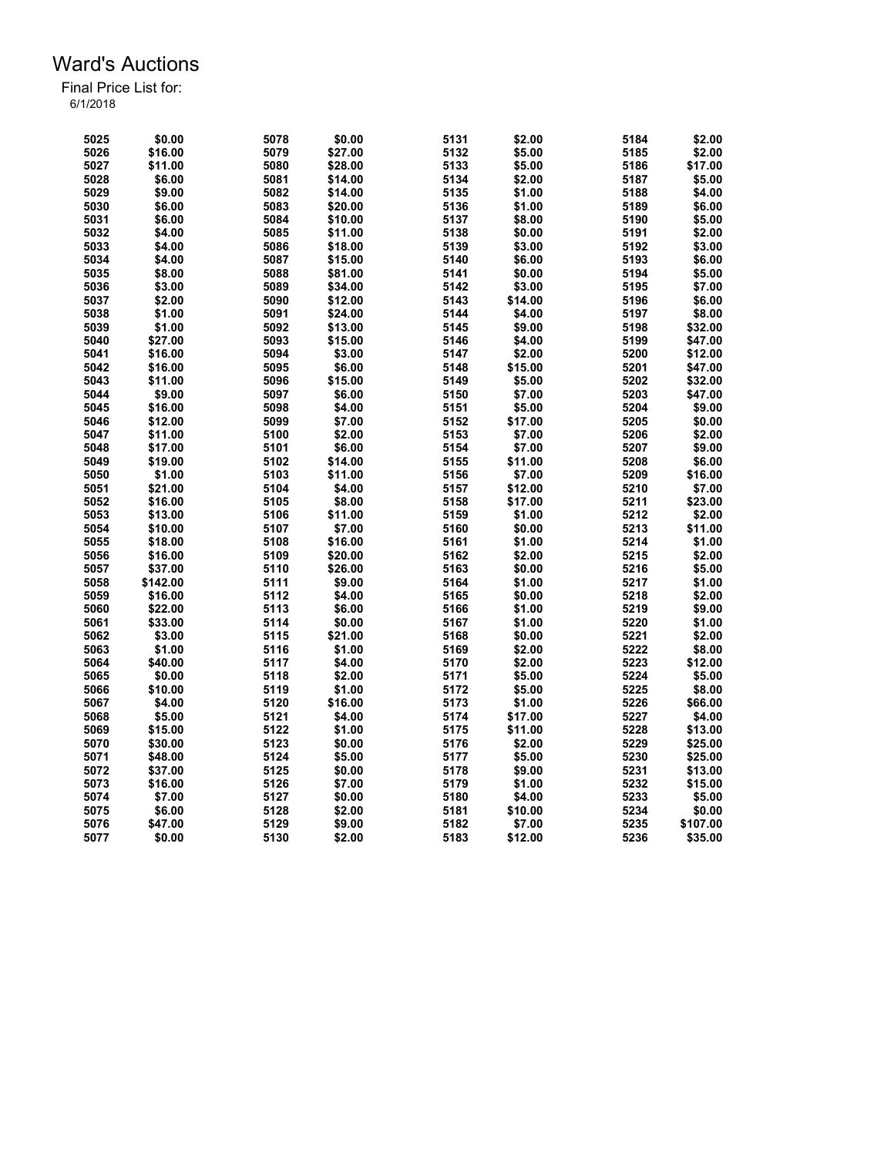| 5025 | \$0.00   | 5078 | \$0.00  | 5131 | \$2.00  | 5184 | \$2.00   |
|------|----------|------|---------|------|---------|------|----------|
| 5026 | \$16.00  | 5079 | \$27.00 | 5132 | \$5.00  | 5185 | \$2.00   |
| 5027 | \$11.00  | 5080 | \$28.00 | 5133 | \$5.00  | 5186 | \$17.00  |
| 5028 | \$6.00   | 5081 | \$14.00 | 5134 | \$2.00  | 5187 | \$5.00   |
| 5029 | \$9.00   | 5082 | \$14.00 | 5135 | \$1.00  | 5188 | \$4.00   |
| 5030 | \$6.00   | 5083 | \$20.00 | 5136 | \$1.00  | 5189 | \$6.00   |
| 5031 | \$6.00   | 5084 | \$10.00 | 5137 | \$8.00  | 5190 | \$5.00   |
| 5032 | \$4.00   | 5085 | \$11.00 | 5138 | \$0.00  | 5191 | \$2.00   |
| 5033 | \$4.00   | 5086 | \$18.00 | 5139 | \$3.00  | 5192 | \$3.00   |
| 5034 | \$4.00   | 5087 | \$15.00 | 5140 | \$6.00  | 5193 | \$6.00   |
| 5035 | \$8.00   | 5088 | \$81.00 | 5141 | \$0.00  | 5194 | \$5.00   |
| 5036 | \$3.00   | 5089 | \$34.00 | 5142 | \$3.00  | 5195 | \$7.00   |
| 5037 | \$2.00   | 5090 | \$12.00 | 5143 | \$14.00 | 5196 | \$6.00   |
| 5038 | \$1.00   | 5091 | \$24.00 | 5144 | \$4.00  | 5197 | \$8.00   |
| 5039 | \$1.00   | 5092 | \$13.00 | 5145 | \$9.00  | 5198 | \$32.00  |
| 5040 | \$27.00  | 5093 | \$15.00 | 5146 | \$4.00  | 5199 | \$47.00  |
| 5041 | \$16.00  | 5094 | \$3.00  | 5147 | \$2.00  | 5200 | \$12.00  |
| 5042 | \$16.00  | 5095 | \$6.00  | 5148 | \$15.00 | 5201 | \$47.00  |
|      | \$11.00  |      |         |      |         |      |          |
| 5043 |          | 5096 | \$15.00 | 5149 | \$5.00  | 5202 | \$32.00  |
| 5044 | \$9.00   | 5097 | \$6.00  | 5150 | \$7.00  | 5203 | \$47.00  |
| 5045 | \$16.00  | 5098 | \$4.00  | 5151 | \$5.00  | 5204 | \$9.00   |
| 5046 | \$12.00  | 5099 | \$7.00  | 5152 | \$17.00 | 5205 | \$0.00   |
| 5047 | \$11.00  | 5100 | \$2.00  | 5153 | \$7.00  | 5206 | \$2.00   |
| 5048 | \$17.00  | 5101 | \$6.00  | 5154 | \$7.00  | 5207 | \$9.00   |
| 5049 | \$19.00  | 5102 | \$14.00 | 5155 | \$11.00 | 5208 | \$6.00   |
| 5050 | \$1.00   | 5103 | \$11.00 | 5156 | \$7.00  | 5209 | \$16.00  |
| 5051 | \$21.00  | 5104 | \$4.00  | 5157 | \$12.00 | 5210 | \$7.00   |
| 5052 | \$16.00  | 5105 | \$8.00  | 5158 | \$17.00 | 5211 | \$23.00  |
| 5053 | \$13.00  | 5106 | \$11.00 | 5159 | \$1.00  | 5212 | \$2.00   |
| 5054 | \$10.00  | 5107 | \$7.00  | 5160 | \$0.00  | 5213 | \$11.00  |
| 5055 | \$18.00  | 5108 | \$16.00 | 5161 | \$1.00  | 5214 | \$1.00   |
| 5056 | \$16.00  | 5109 | \$20.00 | 5162 | \$2.00  | 5215 | \$2.00   |
| 5057 | \$37.00  | 5110 | \$26.00 | 5163 | \$0.00  | 5216 | \$5.00   |
| 5058 | \$142.00 | 5111 | \$9.00  | 5164 | \$1.00  | 5217 | \$1.00   |
| 5059 | \$16.00  | 5112 | \$4.00  | 5165 | \$0.00  | 5218 | \$2.00   |
| 5060 | \$22.00  | 5113 | \$6.00  | 5166 | \$1.00  | 5219 | \$9.00   |
| 5061 | \$33.00  | 5114 | \$0.00  | 5167 | \$1.00  | 5220 | \$1.00   |
| 5062 | \$3.00   | 5115 | \$21.00 | 5168 | \$0.00  | 5221 | \$2.00   |
| 5063 | \$1.00   | 5116 | \$1.00  | 5169 | \$2.00  | 5222 | \$8.00   |
| 5064 | \$40.00  | 5117 | \$4.00  | 5170 | \$2.00  | 5223 | \$12.00  |
| 5065 | \$0.00   | 5118 | \$2.00  | 5171 | \$5.00  | 5224 | \$5.00   |
| 5066 | \$10.00  | 5119 | \$1.00  | 5172 | \$5.00  | 5225 | \$8.00   |
| 5067 | \$4.00   | 5120 | \$16.00 | 5173 | \$1.00  | 5226 | \$66.00  |
| 5068 | \$5.00   | 5121 | \$4.00  | 5174 | \$17.00 | 5227 | \$4.00   |
| 5069 | \$15.00  | 5122 | \$1.00  | 5175 | \$11.00 | 5228 | \$13.00  |
| 5070 | \$30.00  | 5123 | \$0.00  | 5176 | \$2.00  | 5229 | \$25.00  |
| 5071 | \$48.00  | 5124 | \$5.00  | 5177 | \$5.00  | 5230 | \$25.00  |
| 5072 | \$37.00  | 5125 | \$0.00  | 5178 | \$9.00  | 5231 | \$13.00  |
| 5073 | \$16.00  | 5126 | \$7.00  | 5179 | \$1.00  | 5232 | \$15.00  |
| 5074 | \$7.00   | 5127 | \$0.00  | 5180 | \$4.00  | 5233 | \$5.00   |
| 5075 | \$6.00   | 5128 | \$2.00  | 5181 | \$10.00 | 5234 | \$0.00   |
| 5076 | \$47.00  | 5129 | \$9.00  | 5182 | \$7.00  | 5235 | \$107.00 |
| 5077 | \$0.00   | 5130 | \$2.00  | 5183 | \$12.00 | 5236 | \$35.00  |
|      |          |      |         |      |         |      |          |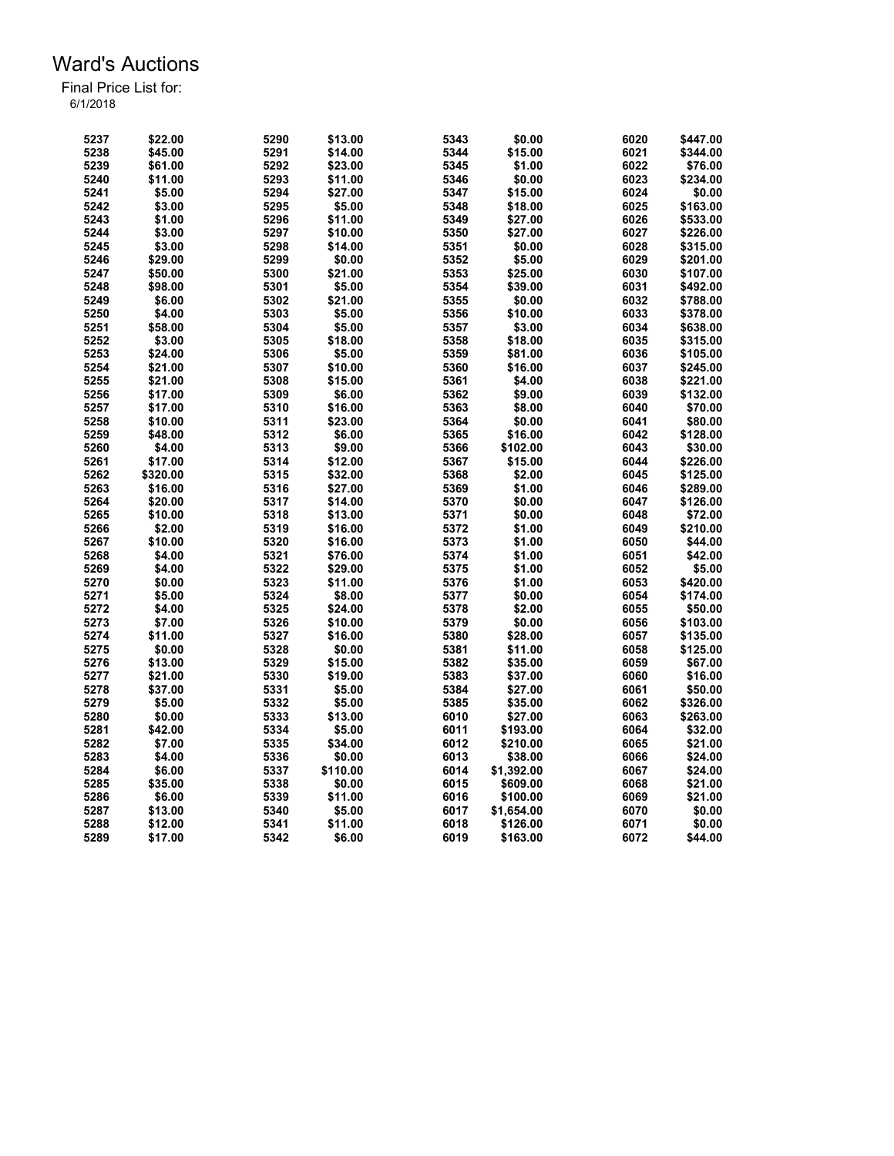| 5237         | \$22.00  | 5290         | \$13.00  | 5343 | \$0.00           | 6020         | \$447.00 |
|--------------|----------|--------------|----------|------|------------------|--------------|----------|
| 5238         | \$45.00  | 5291         | \$14.00  | 5344 | \$15.00          | 6021         | \$344.00 |
| 5239         | \$61.00  | 5292         | \$23.00  | 5345 | \$1.00           | 6022         | \$76.00  |
| 5240         | \$11.00  | 5293         | \$11.00  | 5346 | \$0.00           | 6023         | \$234.00 |
| 5241         | \$5.00   | 5294         | \$27.00  | 5347 | \$15.00          | 6024         | \$0.00   |
| 5242         | \$3.00   | 5295         | \$5.00   | 5348 | \$18.00          | 6025         | \$163.00 |
| 5243         | \$1.00   | 5296         | \$11.00  | 5349 | \$27.00          | 6026         | \$533.00 |
| 5244         | \$3.00   | 5297         | \$10.00  | 5350 | \$27.00          | 6027         | \$226.00 |
| 5245         | \$3.00   | 5298         | \$14.00  | 5351 | \$0.00           | 6028         | \$315.00 |
| 5246         | \$29.00  | 5299         | \$0.00   | 5352 | \$5.00           | 6029         | \$201.00 |
| 5247         | \$50.00  | 5300         | \$21.00  | 5353 | \$25.00          | 6030         | \$107.00 |
| 5248         | \$98.00  | 5301         | \$5.00   | 5354 | \$39.00          | 6031         | \$492.00 |
| 5249         | \$6.00   | 5302         | \$21.00  | 5355 | \$0.00           | 6032         | \$788.00 |
| 5250         | \$4.00   | 5303         | \$5.00   | 5356 | \$10.00          | 6033         | \$378.00 |
| 5251         | \$58.00  | 5304         | \$5.00   | 5357 | \$3.00           | 6034         | \$638.00 |
| 5252         | \$3.00   | 5305         | \$18.00  | 5358 | \$18.00          | 6035         | \$315.00 |
| 5253         | \$24.00  | 5306         | \$5.00   | 5359 | \$81.00          | 6036         | \$105.00 |
| 5254         | \$21.00  | 5307         | \$10.00  | 5360 | \$16.00          | 6037         | \$245.00 |
|              | \$21.00  | 5308         | \$15.00  | 5361 |                  | 6038         | \$221.00 |
| 5255<br>5256 |          |              |          | 5362 | \$4.00<br>\$9.00 | 6039         |          |
|              | \$17.00  | 5309         | \$6.00   |      |                  |              | \$132.00 |
| 5257         | \$17.00  | 5310         | \$16.00  | 5363 | \$8.00           | 6040         | \$70.00  |
| 5258         | \$10.00  | 5311         | \$23.00  | 5364 | \$0.00           | 6041         | \$80.00  |
| 5259         | \$48.00  | 5312         | \$6.00   | 5365 | \$16.00          | 6042         | \$128.00 |
| 5260         | \$4.00   | 5313         | \$9.00   | 5366 | \$102.00         | 6043         | \$30.00  |
| 5261         | \$17.00  | 5314         | \$12.00  | 5367 | \$15.00          | 6044         | \$226.00 |
| 5262         | \$320.00 | 5315         | \$32.00  | 5368 | \$2.00           | 6045         | \$125.00 |
| 5263         | \$16.00  | 5316         | \$27.00  | 5369 | \$1.00           | 6046         | \$289.00 |
| 5264         | \$20.00  | 5317         | \$14.00  | 5370 | \$0.00           | 6047         | \$126.00 |
| 5265         | \$10.00  | 5318         | \$13.00  | 5371 | \$0.00           | 6048         | \$72.00  |
| 5266         | \$2.00   | 5319         | \$16.00  | 5372 | \$1.00           | 6049         | \$210.00 |
| 5267         | \$10.00  | 5320         | \$16.00  | 5373 | \$1.00           | 6050         | \$44.00  |
| 5268         | \$4.00   | 5321         | \$76.00  | 5374 | \$1.00           | 6051         | \$42.00  |
| 5269         | \$4.00   | 5322         | \$29.00  | 5375 | \$1.00           | 6052         | \$5.00   |
| 5270         | \$0.00   | 5323         | \$11.00  | 5376 | \$1.00           | 6053         | \$420.00 |
| 5271         | \$5.00   | 5324         | \$8.00   | 5377 | \$0.00           | 6054         | \$174.00 |
| 5272         | \$4.00   | 5325         | \$24.00  | 5378 | \$2.00           | 6055         | \$50.00  |
| 5273         | \$7.00   | 5326         | \$10.00  | 5379 | \$0.00           | 6056         | \$103.00 |
| 5274         | \$11.00  | 5327         | \$16.00  | 5380 | \$28.00          | 6057         | \$135.00 |
| 5275         | \$0.00   | 5328         | \$0.00   | 5381 | \$11.00          | 6058         | \$125.00 |
| 5276         | \$13.00  | 5329         | \$15.00  | 5382 | \$35.00          | 6059         | \$67.00  |
| 5277         | \$21.00  | 5330         | \$19.00  | 5383 | \$37.00          | 6060         | \$16.00  |
| 5278         | \$37.00  | 5331         | \$5.00   | 5384 | \$27.00          | 6061         | \$50.00  |
| 5279         | \$5.00   | 5332         | \$5.00   | 5385 | \$35.00          | 6062         | \$326.00 |
| 5280         | \$0.00   | 5333         | \$13.00  | 6010 | \$27.00          | 6063         | \$263.00 |
| 5281         | \$42.00  | 5334         | \$5.00   | 6011 | \$193.00         | 6064         | \$32.00  |
| 5282         | \$7.00   | 5335         | \$34.00  | 6012 | \$210.00         | 6065         | \$21.00  |
| 5283         | \$4.00   | 5336         | \$0.00   | 6013 | \$38.00          | 6066         | \$24.00  |
| 5284         | \$6.00   |              | \$110.00 | 6014 | \$1,392.00       |              |          |
|              |          | 5337<br>5338 |          | 6015 |                  | 6067<br>6068 | \$24.00  |
| 5285         | \$35.00  |              | \$0.00   |      | \$609.00         |              | \$21.00  |
| 5286         | \$6.00   | 5339         | \$11.00  | 6016 | \$100.00         | 6069         | \$21.00  |
| 5287         | \$13.00  | 5340         | \$5.00   | 6017 | \$1,654.00       | 6070         | \$0.00   |
| 5288         | \$12.00  | 5341         | \$11.00  | 6018 | \$126.00         | 6071         | \$0.00   |
| 5289         | \$17.00  | 5342         | \$6.00   | 6019 | \$163.00         | 6072         | \$44.00  |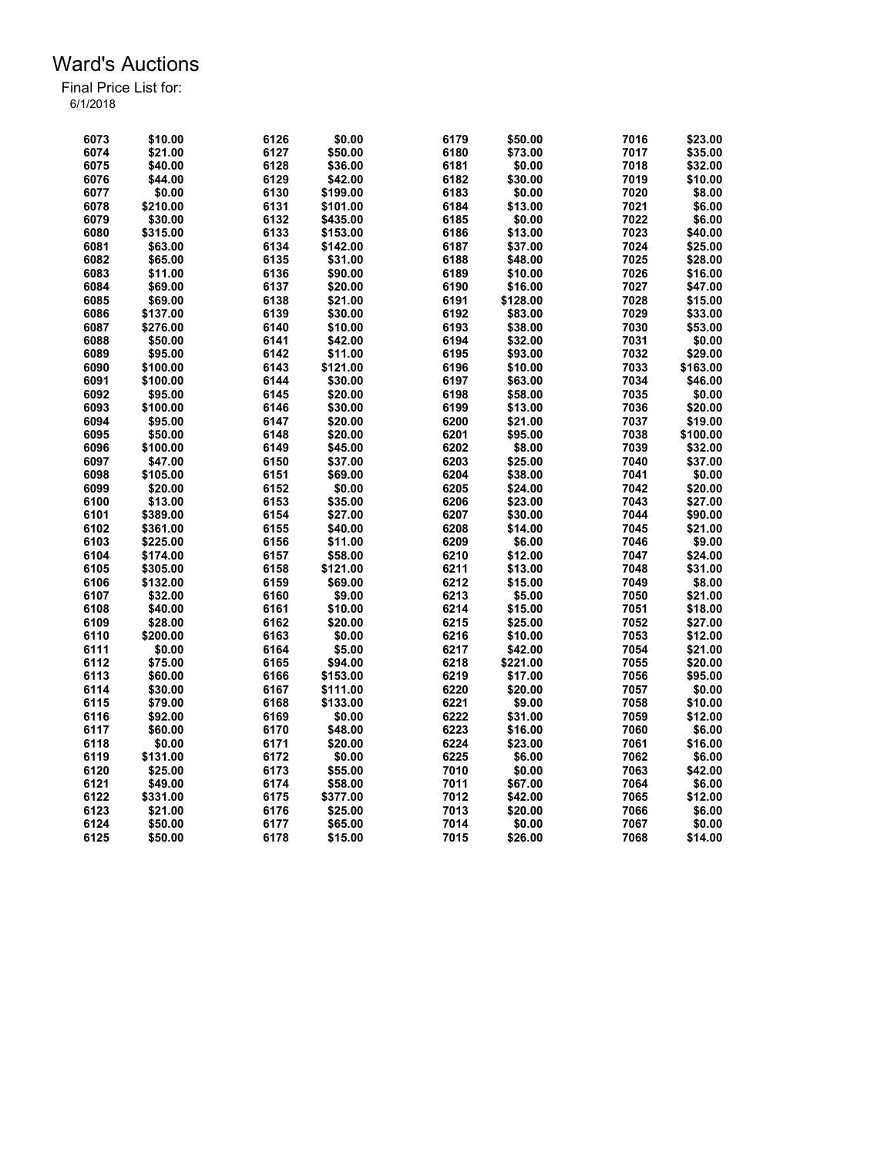| 6073 | \$10.00  | 6126 | \$0.00   | 6179         | \$50.00  | 7016         | \$23.00  |
|------|----------|------|----------|--------------|----------|--------------|----------|
| 6074 | \$21.00  | 6127 | \$50.00  | 6180         | \$73.00  | 7017         | \$35.00  |
| 6075 | \$40.00  | 6128 | \$36.00  | 6181         | \$0.00   | 7018         | \$32.00  |
| 6076 | \$44.00  | 6129 | \$42.00  | 6182         | \$30.00  | 7019         | \$10.00  |
| 6077 | \$0.00   | 6130 | \$199.00 | 6183         | \$0.00   | 7020         | \$8.00   |
| 6078 | \$210.00 | 6131 | \$101.00 | 6184         | \$13.00  | 7021         | \$6.00   |
| 6079 | \$30.00  | 6132 | \$435.00 | 6185         | \$0.00   | 7022         | \$6.00   |
| 6080 | \$315.00 | 6133 | \$153.00 | 6186         | \$13.00  | 7023         | \$40.00  |
| 6081 | \$63.00  | 6134 | \$142.00 | 6187         | \$37.00  | 7024         | \$25.00  |
| 6082 | \$65.00  | 6135 | \$31.00  | 6188         | \$48.00  | 7025         | \$28.00  |
| 6083 | \$11.00  | 6136 | \$90.00  | 6189         | \$10.00  | 7026         | \$16.00  |
| 6084 | \$69.00  | 6137 | \$20.00  | 6190         | \$16.00  | 7027         | \$47.00  |
| 6085 | \$69.00  | 6138 | \$21.00  | 6191         | \$128.00 | 7028         | \$15.00  |
| 6086 | \$137.00 | 6139 | \$30.00  | 6192         | \$83.00  | 7029         | \$33.00  |
| 6087 | \$276.00 | 6140 | \$10.00  | 6193         | \$38.00  | 7030         | \$53.00  |
| 6088 | \$50.00  | 6141 | \$42.00  | 6194         | \$32.00  | 7031         | \$0.00   |
| 6089 | \$95.00  | 6142 | \$11.00  | 6195         | \$93.00  | 7032         | \$29.00  |
| 6090 | \$100.00 | 6143 | \$121.00 | 6196         | \$10.00  | 7033         | \$163.00 |
| 6091 | \$100.00 | 6144 | \$30.00  | 6197         | \$63.00  | 7034         | \$46.00  |
| 6092 |          |      |          | 6198         |          | 7035         |          |
|      | \$95.00  | 6145 | \$20.00  |              | \$58.00  |              | \$0.00   |
| 6093 | \$100.00 | 6146 | \$30.00  | 6199<br>6200 | \$13.00  | 7036<br>7037 | \$20.00  |
| 6094 | \$95.00  | 6147 | \$20.00  |              | \$21.00  |              | \$19.00  |
| 6095 | \$50.00  | 6148 | \$20.00  | 6201         | \$95.00  | 7038         | \$100.00 |
| 6096 | \$100.00 | 6149 | \$45.00  | 6202         | \$8.00   | 7039         | \$32.00  |
| 6097 | \$47.00  | 6150 | \$37.00  | 6203         | \$25.00  | 7040         | \$37.00  |
| 6098 | \$105.00 | 6151 | \$69.00  | 6204         | \$38.00  | 7041         | \$0.00   |
| 6099 | \$20.00  | 6152 | \$0.00   | 6205         | \$24.00  | 7042         | \$20.00  |
| 6100 | \$13.00  | 6153 | \$35.00  | 6206         | \$23.00  | 7043         | \$27.00  |
| 6101 | \$389.00 | 6154 | \$27.00  | 6207         | \$30.00  | 7044         | \$90.00  |
| 6102 | \$361.00 | 6155 | \$40.00  | 6208         | \$14.00  | 7045         | \$21.00  |
| 6103 | \$225.00 | 6156 | \$11.00  | 6209         | \$6.00   | 7046         | \$9.00   |
| 6104 | \$174.00 | 6157 | \$58.00  | 6210         | \$12.00  | 7047         | \$24.00  |
| 6105 | \$305.00 | 6158 | \$121.00 | 6211         | \$13.00  | 7048         | \$31.00  |
| 6106 | \$132.00 | 6159 | \$69.00  | 6212         | \$15.00  | 7049         | \$8.00   |
| 6107 | \$32.00  | 6160 | \$9.00   | 6213         | \$5.00   | 7050         | \$21.00  |
| 6108 | \$40.00  | 6161 | \$10.00  | 6214         | \$15.00  | 7051         | \$18.00  |
| 6109 | \$28.00  | 6162 | \$20.00  | 6215         | \$25.00  | 7052         | \$27.00  |
| 6110 | \$200.00 | 6163 | \$0.00   | 6216         | \$10.00  | 7053         | \$12.00  |
| 6111 | \$0.00   | 6164 | \$5.00   | 6217         | \$42.00  | 7054         | \$21.00  |
| 6112 | \$75.00  | 6165 | \$94.00  | 6218         | \$221.00 | 7055         | \$20.00  |
| 6113 | \$60.00  | 6166 | \$153.00 | 6219         | \$17.00  | 7056         | \$95.00  |
| 6114 | \$30.00  | 6167 | \$111.00 | 6220         | \$20.00  | 7057         | \$0.00   |
| 6115 | \$79.00  | 6168 | \$133.00 | 6221         | \$9.00   | 7058         | \$10.00  |
| 6116 | \$92.00  | 6169 | \$0.00   | 6222         | \$31.00  | 7059         | \$12.00  |
| 6117 | \$60.00  | 6170 | \$48.00  | 6223         | \$16.00  | 7060         | \$6.00   |
| 6118 | \$0.00   | 6171 | \$20.00  | 6224         | \$23.00  | 7061         | \$16.00  |
| 6119 | \$131.00 | 6172 | \$0.00   | 6225         | \$6.00   | 7062         | \$6.00   |
| 6120 | \$25.00  | 6173 | \$55.00  | 7010         | \$0.00   | 7063         | \$42.00  |
| 6121 | \$49.00  | 6174 | \$58.00  | 7011         | \$67.00  | 7064         | \$6.00   |
| 6122 | \$331.00 | 6175 | \$377.00 | 7012         | \$42.00  | 7065         | \$12.00  |
| 6123 | \$21.00  | 6176 | \$25.00  | 7013         | \$20.00  | 7066         | \$6.00   |
| 6124 | \$50.00  | 6177 | \$65.00  | 7014         | \$0.00   | 7067         | \$0.00   |
| 6125 | \$50.00  | 6178 | \$15.00  | 7015         | \$26.00  | 7068         | \$14.00  |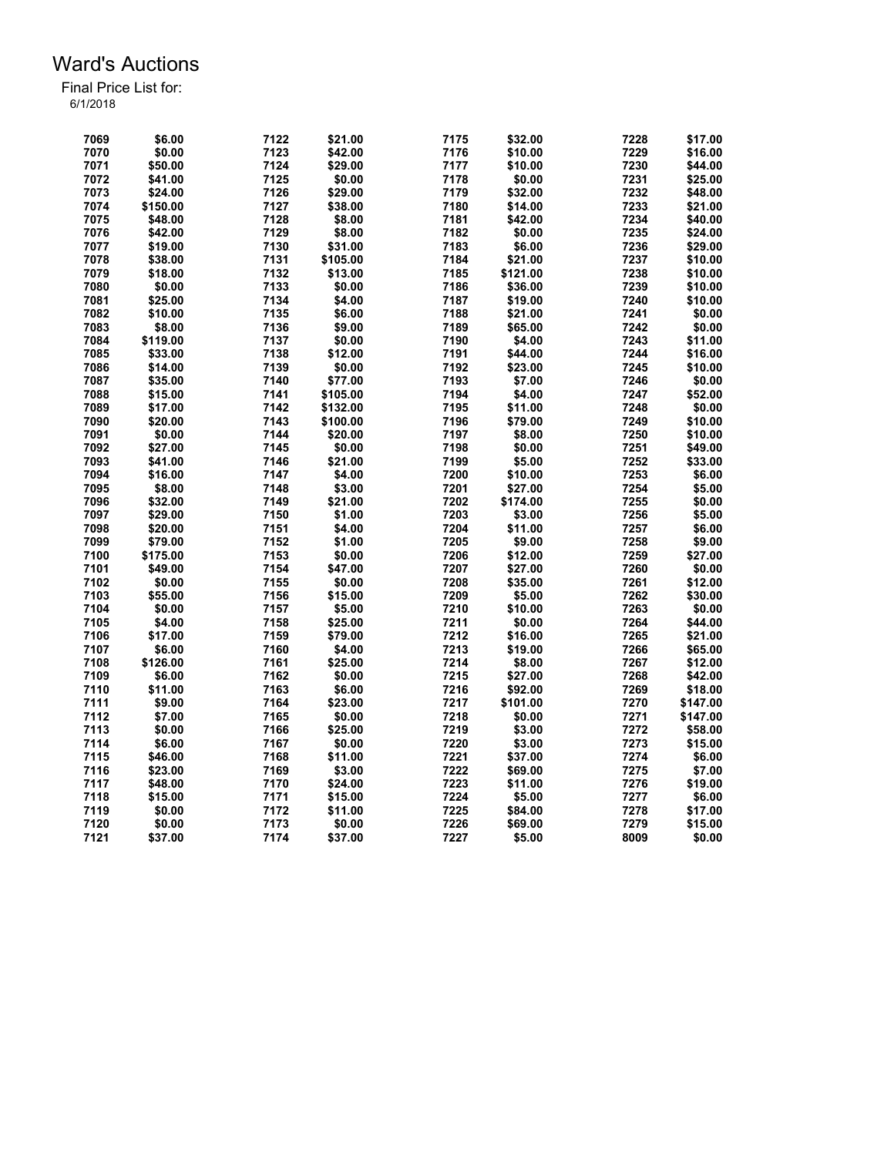| 7069 | \$6.00   | 7122 | \$21.00  | 7175 | \$32.00  | 7228 | \$17.00  |
|------|----------|------|----------|------|----------|------|----------|
| 7070 | \$0.00   | 7123 | \$42.00  | 7176 | \$10.00  | 7229 | \$16.00  |
| 7071 | \$50.00  | 7124 | \$29.00  | 7177 | \$10.00  | 7230 | \$44.00  |
| 7072 | \$41.00  | 7125 | \$0.00   | 7178 | \$0.00   | 7231 | \$25.00  |
| 7073 | \$24.00  | 7126 | \$29.00  | 7179 | \$32.00  | 7232 | \$48.00  |
| 7074 | \$150.00 | 7127 | \$38.00  | 7180 | \$14.00  | 7233 | \$21.00  |
| 7075 | \$48.00  | 7128 | \$8.00   | 7181 | \$42.00  | 7234 | \$40.00  |
| 7076 | \$42.00  | 7129 | \$8.00   | 7182 | \$0.00   | 7235 | \$24.00  |
| 7077 | \$19.00  | 7130 | \$31.00  | 7183 | \$6.00   | 7236 | \$29.00  |
| 7078 | \$38.00  | 7131 | \$105.00 | 7184 | \$21.00  | 7237 | \$10.00  |
| 7079 | \$18.00  | 7132 | \$13.00  | 7185 | \$121.00 | 7238 | \$10.00  |
| 7080 | \$0.00   | 7133 | \$0.00   | 7186 | \$36.00  | 7239 | \$10.00  |
| 7081 | \$25.00  | 7134 | \$4.00   | 7187 | \$19.00  | 7240 | \$10.00  |
| 7082 | \$10.00  | 7135 | \$6.00   | 7188 | \$21.00  | 7241 | \$0.00   |
| 7083 |          | 7136 | \$9.00   |      |          | 7242 |          |
|      | \$8.00   |      |          | 7189 | \$65.00  |      | \$0.00   |
| 7084 | \$119.00 | 7137 | \$0.00   | 7190 | \$4.00   | 7243 | \$11.00  |
| 7085 | \$33.00  | 7138 | \$12.00  | 7191 | \$44.00  | 7244 | \$16.00  |
| 7086 | \$14.00  | 7139 | \$0.00   | 7192 | \$23.00  | 7245 | \$10.00  |
| 7087 | \$35.00  | 7140 | \$77.00  | 7193 | \$7.00   | 7246 | \$0.00   |
| 7088 | \$15.00  | 7141 | \$105.00 | 7194 | \$4.00   | 7247 | \$52.00  |
| 7089 | \$17.00  | 7142 | \$132.00 | 7195 | \$11.00  | 7248 | \$0.00   |
| 7090 | \$20.00  | 7143 | \$100.00 | 7196 | \$79.00  | 7249 | \$10.00  |
| 7091 | \$0.00   | 7144 | \$20.00  | 7197 | \$8.00   | 7250 | \$10.00  |
| 7092 | \$27.00  | 7145 | \$0.00   | 7198 | \$0.00   | 7251 | \$49.00  |
| 7093 | \$41.00  | 7146 | \$21.00  | 7199 | \$5.00   | 7252 | \$33.00  |
| 7094 | \$16.00  | 7147 | \$4.00   | 7200 | \$10.00  | 7253 | \$6.00   |
| 7095 | \$8.00   | 7148 | \$3.00   | 7201 | \$27.00  | 7254 | \$5.00   |
| 7096 | \$32.00  | 7149 | \$21.00  | 7202 | \$174.00 | 7255 | \$0.00   |
| 7097 | \$29.00  | 7150 | \$1.00   | 7203 | \$3.00   | 7256 | \$5.00   |
| 7098 | \$20.00  | 7151 | \$4.00   | 7204 | \$11.00  | 7257 | \$6.00   |
| 7099 | \$79.00  | 7152 | \$1.00   | 7205 | \$9.00   | 7258 | \$9.00   |
| 7100 | \$175.00 | 7153 | \$0.00   | 7206 | \$12.00  | 7259 | \$27.00  |
| 7101 | \$49.00  | 7154 | \$47.00  | 7207 | \$27.00  | 7260 | \$0.00   |
| 7102 | \$0.00   | 7155 | \$0.00   | 7208 | \$35.00  | 7261 | \$12.00  |
| 7103 | \$55.00  | 7156 | \$15.00  | 7209 | \$5.00   | 7262 | \$30.00  |
| 7104 | \$0.00   | 7157 | \$5.00   | 7210 | \$10.00  | 7263 | \$0.00   |
| 7105 | \$4.00   | 7158 | \$25.00  | 7211 | \$0.00   | 7264 | \$44.00  |
| 7106 | \$17.00  | 7159 | \$79.00  | 7212 | \$16.00  | 7265 | \$21.00  |
| 7107 | \$6.00   | 7160 | \$4.00   | 7213 | \$19.00  | 7266 | \$65.00  |
| 7108 | \$126.00 | 7161 | \$25.00  | 7214 | \$8.00   | 7267 | \$12.00  |
| 7109 | \$6.00   | 7162 | \$0.00   | 7215 | \$27.00  | 7268 | \$42.00  |
| 7110 | \$11.00  | 7163 | \$6.00   | 7216 | \$92.00  | 7269 | \$18.00  |
| 7111 | \$9.00   | 7164 | \$23.00  | 7217 | \$101.00 | 7270 | \$147.00 |
|      |          |      |          |      |          |      |          |
| 7112 | \$7.00   | 7165 | \$0.00   | 7218 | \$0.00   | 7271 | \$147.00 |
| 7113 | \$0.00   | 7166 | \$25.00  | 7219 | \$3.00   | 7272 | \$58.00  |
| 7114 | \$6.00   | 7167 | \$0.00   | 7220 | \$3.00   | 7273 | \$15.00  |
| 7115 | \$46.00  | 7168 | \$11.00  | 7221 | \$37.00  | 7274 | \$6.00   |
| 7116 | \$23.00  | 7169 | \$3.00   | 7222 | \$69.00  | 7275 | \$7.00   |
| 7117 | \$48.00  | 7170 | \$24.00  | 7223 | \$11.00  | 7276 | \$19.00  |
| 7118 | \$15.00  | 7171 | \$15.00  | 7224 | \$5.00   | 7277 | \$6.00   |
| 7119 | \$0.00   | 7172 | \$11.00  | 7225 | \$84.00  | 7278 | \$17.00  |
| 7120 | \$0.00   | 7173 | \$0.00   | 7226 | \$69.00  | 7279 | \$15.00  |
| 7121 | \$37.00  | 7174 | \$37.00  | 7227 | \$5.00   | 8009 | \$0.00   |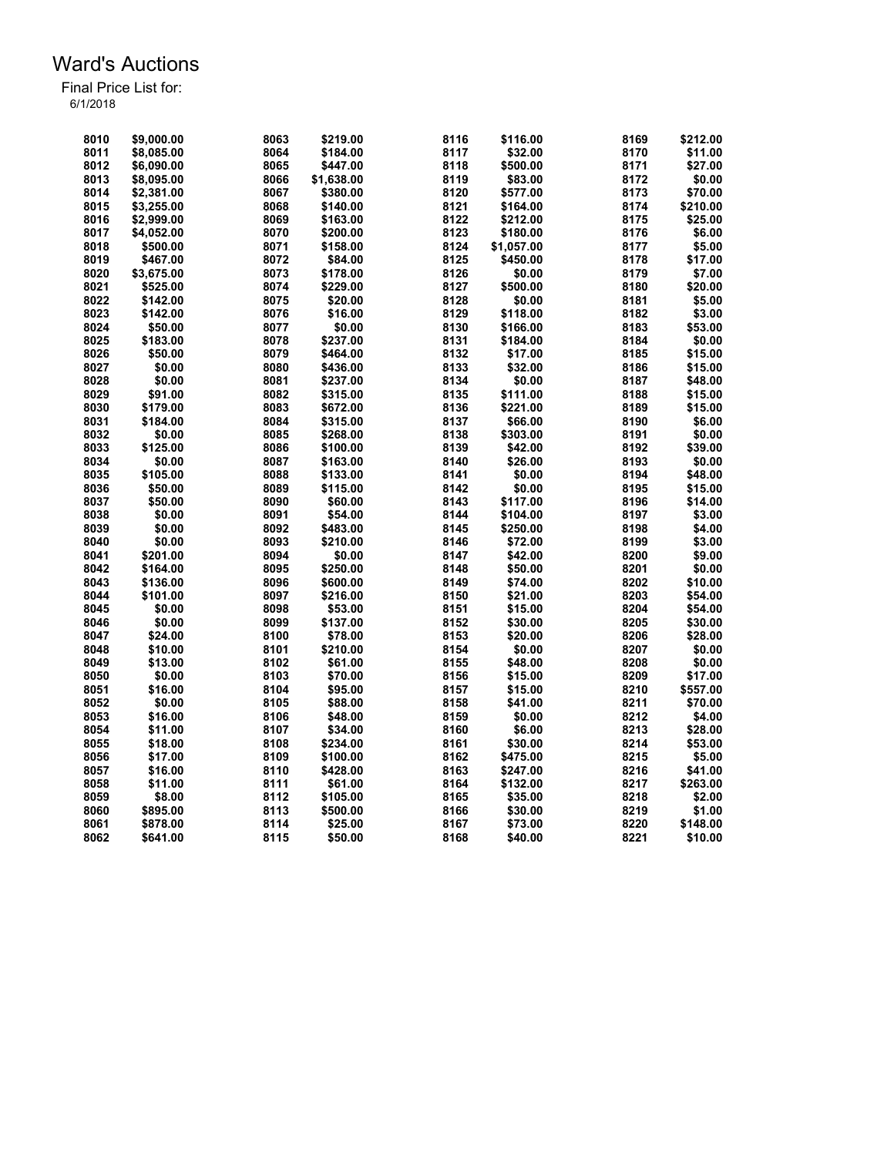| 8010 | \$9.000.00 | 8063 | \$219.00   | 8116 | \$116.00   | 8169 | \$212.00 |
|------|------------|------|------------|------|------------|------|----------|
| 8011 | \$8,085.00 | 8064 | \$184.00   | 8117 | \$32.00    | 8170 | \$11.00  |
| 8012 | \$6,090.00 | 8065 | \$447.00   | 8118 | \$500.00   | 8171 | \$27.00  |
| 8013 | \$8.095.00 | 8066 | \$1.638.00 | 8119 | \$83.00    | 8172 | \$0.00   |
| 8014 | \$2,381.00 | 8067 | \$380.00   | 8120 | \$577.00   | 8173 | \$70.00  |
| 8015 | \$3,255.00 | 8068 | \$140.00   | 8121 | \$164.00   | 8174 | \$210.00 |
| 8016 | \$2,999.00 | 8069 | \$163.00   | 8122 | \$212.00   | 8175 | \$25.00  |
| 8017 | \$4,052.00 | 8070 | \$200.00   | 8123 | \$180.00   | 8176 | \$6.00   |
| 8018 | \$500.00   | 8071 | \$158.00   | 8124 |            | 8177 | \$5.00   |
|      |            |      |            |      | \$1,057.00 |      |          |
| 8019 | \$467.00   | 8072 | \$84.00    | 8125 | \$450.00   | 8178 | \$17.00  |
| 8020 | \$3,675.00 | 8073 | \$178.00   | 8126 | \$0.00     | 8179 | \$7.00   |
| 8021 | \$525.00   | 8074 | \$229.00   | 8127 | \$500.00   | 8180 | \$20.00  |
| 8022 | \$142.00   | 8075 | \$20.00    | 8128 | \$0.00     | 8181 | \$5.00   |
| 8023 | \$142.00   | 8076 | \$16.00    | 8129 | \$118.00   | 8182 | \$3.00   |
| 8024 | \$50.00    | 8077 | \$0.00     | 8130 | \$166.00   | 8183 | \$53.00  |
| 8025 | \$183.00   | 8078 | \$237.00   | 8131 | \$184.00   | 8184 | \$0.00   |
| 8026 | \$50.00    | 8079 | \$464.00   | 8132 | \$17.00    | 8185 | \$15.00  |
| 8027 | \$0.00     | 8080 | \$436.00   | 8133 | \$32.00    | 8186 | \$15.00  |
| 8028 | \$0.00     | 8081 | \$237.00   | 8134 | \$0.00     | 8187 | \$48.00  |
| 8029 | \$91.00    | 8082 | \$315.00   | 8135 | \$111.00   | 8188 | \$15.00  |
| 8030 | \$179.00   | 8083 | \$672.00   | 8136 | \$221.00   | 8189 | \$15.00  |
| 8031 | \$184.00   | 8084 | \$315.00   | 8137 | \$66.00    | 8190 | \$6.00   |
| 8032 | \$0.00     | 8085 | \$268.00   | 8138 | \$303.00   | 8191 | \$0.00   |
| 8033 | \$125.00   | 8086 | \$100.00   | 8139 | \$42.00    | 8192 | \$39.00  |
| 8034 | \$0.00     | 8087 | \$163.00   | 8140 | \$26.00    | 8193 | \$0.00   |
| 8035 | \$105.00   | 8088 | \$133.00   | 8141 | \$0.00     | 8194 | \$48.00  |
| 8036 | \$50.00    | 8089 | \$115.00   | 8142 | \$0.00     | 8195 | \$15.00  |
| 8037 | \$50.00    | 8090 | \$60.00    | 8143 | \$117.00   | 8196 | \$14.00  |
| 8038 | \$0.00     | 8091 | \$54.00    | 8144 | \$104.00   | 8197 | \$3.00   |
| 8039 | \$0.00     | 8092 | \$483.00   | 8145 | \$250.00   | 8198 | \$4.00   |
| 8040 | \$0.00     | 8093 | \$210.00   | 8146 | \$72.00    | 8199 | \$3.00   |
| 8041 | \$201.00   | 8094 | \$0.00     | 8147 | \$42.00    | 8200 | \$9.00   |
| 8042 | \$164.00   | 8095 | \$250.00   | 8148 | \$50.00    | 8201 | \$0.00   |
|      | \$136.00   |      |            |      |            | 8202 |          |
| 8043 |            | 8096 | \$600.00   | 8149 | \$74.00    |      | \$10.00  |
| 8044 | \$101.00   | 8097 | \$216.00   | 8150 | \$21.00    | 8203 | \$54.00  |
| 8045 | \$0.00     | 8098 | \$53.00    | 8151 | \$15.00    | 8204 | \$54.00  |
| 8046 | \$0.00     | 8099 | \$137.00   | 8152 | \$30.00    | 8205 | \$30.00  |
| 8047 | \$24.00    | 8100 | \$78.00    | 8153 | \$20.00    | 8206 | \$28.00  |
| 8048 | \$10.00    | 8101 | \$210.00   | 8154 | \$0.00     | 8207 | \$0.00   |
| 8049 | \$13.00    | 8102 | \$61.00    | 8155 | \$48.00    | 8208 | \$0.00   |
| 8050 | \$0.00     | 8103 | \$70.00    | 8156 | \$15.00    | 8209 | \$17.00  |
| 8051 | \$16.00    | 8104 | \$95.00    | 8157 | \$15.00    | 8210 | \$557.00 |
| 8052 | \$0.00     | 8105 | \$88.00    | 8158 | \$41.00    | 8211 | \$70.00  |
| 8053 | \$16.00    | 8106 | \$48.00    | 8159 | \$0.00     | 8212 | \$4.00   |
| 8054 | \$11.00    | 8107 | \$34.00    | 8160 | \$6.00     | 8213 | \$28.00  |
| 8055 | \$18.00    | 8108 | \$234.00   | 8161 | \$30.00    | 8214 | \$53.00  |
| 8056 | \$17.00    | 8109 | \$100.00   | 8162 | \$475.00   | 8215 | \$5.00   |
| 8057 | \$16.00    | 8110 | \$428.00   | 8163 | \$247.00   | 8216 | \$41.00  |
| 8058 | \$11.00    | 8111 | \$61.00    | 8164 | \$132.00   | 8217 | \$263.00 |
| 8059 | \$8.00     | 8112 | \$105.00   | 8165 | \$35.00    | 8218 | \$2.00   |
| 8060 | \$895.00   | 8113 | \$500.00   | 8166 | \$30.00    | 8219 | \$1.00   |
| 8061 | \$878.00   | 8114 | \$25.00    | 8167 | \$73.00    | 8220 | \$148.00 |
| 8062 | \$641.00   | 8115 | \$50.00    | 8168 | \$40.00    | 8221 | \$10.00  |
|      |            |      |            |      |            |      |          |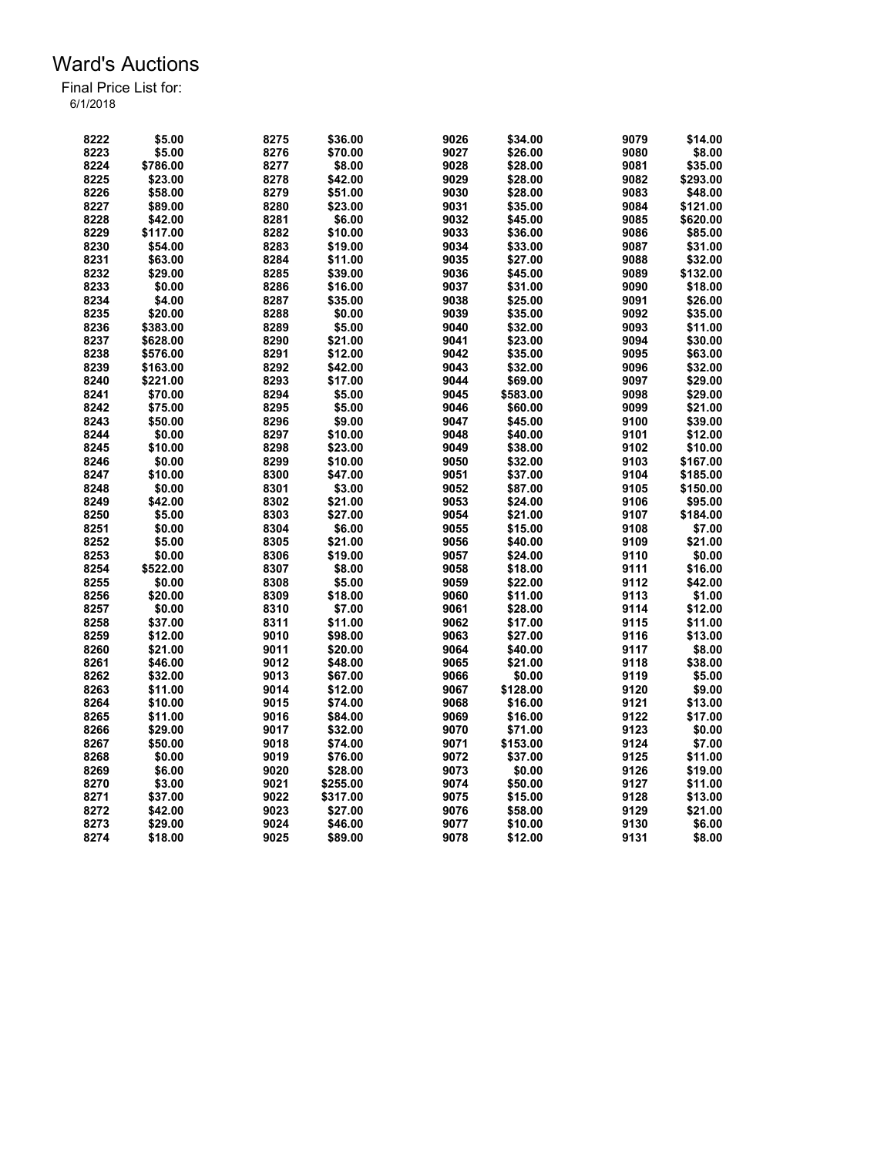| 8222 | \$5.00   | 8275         | \$36.00  | 9026 | \$34.00  | 9079 | \$14.00  |
|------|----------|--------------|----------|------|----------|------|----------|
| 8223 | \$5.00   | 8276         | \$70.00  | 9027 | \$26.00  | 9080 | \$8.00   |
| 8224 | \$786.00 | 8277         | \$8.00   | 9028 | \$28.00  | 9081 | \$35.00  |
| 8225 | \$23.00  | 8278         | \$42.00  | 9029 | \$28.00  | 9082 | \$293.00 |
| 8226 | \$58.00  | 8279         | \$51.00  | 9030 | \$28.00  | 9083 | \$48.00  |
| 8227 | \$89.00  | 8280         | \$23.00  | 9031 | \$35.00  | 9084 | \$121.00 |
| 8228 | \$42.00  | 8281         | \$6.00   | 9032 | \$45.00  | 9085 | \$620.00 |
| 8229 | \$117.00 | 8282         | \$10.00  | 9033 | \$36.00  | 9086 | \$85.00  |
| 8230 | \$54.00  | 8283         | \$19.00  | 9034 | \$33.00  | 9087 | \$31.00  |
| 8231 | \$63.00  | 8284         | \$11.00  | 9035 | \$27.00  | 9088 | \$32.00  |
| 8232 | \$29.00  | 8285         | \$39.00  | 9036 | \$45.00  | 9089 | \$132.00 |
| 8233 | \$0.00   | 8286         | \$16.00  | 9037 | \$31.00  | 9090 | \$18.00  |
| 8234 | \$4.00   | 8287         | \$35.00  | 9038 | \$25.00  | 9091 | \$26.00  |
| 8235 | \$20.00  | 8288         | \$0.00   | 9039 | \$35.00  | 9092 | \$35.00  |
| 8236 | \$383.00 | 8289         | \$5.00   | 9040 | \$32.00  | 9093 | \$11.00  |
| 8237 | \$628.00 | 8290         | \$21.00  | 9041 | \$23.00  | 9094 | \$30.00  |
| 8238 | \$576.00 | 8291         | \$12.00  | 9042 | \$35.00  | 9095 | \$63.00  |
| 8239 | \$163.00 | 8292         | \$42.00  | 9043 | \$32.00  | 9096 | \$32.00  |
| 8240 | \$221.00 | 8293         | \$17.00  | 9044 | \$69.00  | 9097 | \$29.00  |
| 8241 |          |              | \$5.00   | 9045 |          | 9098 | \$29.00  |
|      | \$70.00  | 8294<br>8295 |          |      | \$583.00 |      |          |
| 8242 | \$75.00  |              | \$5.00   | 9046 | \$60.00  | 9099 | \$21.00  |
| 8243 | \$50.00  | 8296         | \$9.00   | 9047 | \$45.00  | 9100 | \$39.00  |
| 8244 | \$0.00   | 8297         | \$10.00  | 9048 | \$40.00  | 9101 | \$12.00  |
| 8245 | \$10.00  | 8298         | \$23.00  | 9049 | \$38.00  | 9102 | \$10.00  |
| 8246 | \$0.00   | 8299         | \$10.00  | 9050 | \$32.00  | 9103 | \$167.00 |
| 8247 | \$10.00  | 8300         | \$47.00  | 9051 | \$37.00  | 9104 | \$185.00 |
| 8248 | \$0.00   | 8301         | \$3.00   | 9052 | \$87.00  | 9105 | \$150.00 |
| 8249 | \$42.00  | 8302         | \$21.00  | 9053 | \$24.00  | 9106 | \$95.00  |
| 8250 | \$5.00   | 8303         | \$27.00  | 9054 | \$21.00  | 9107 | \$184.00 |
| 8251 | \$0.00   | 8304         | \$6.00   | 9055 | \$15.00  | 9108 | \$7.00   |
| 8252 | \$5.00   | 8305         | \$21.00  | 9056 | \$40.00  | 9109 | \$21.00  |
| 8253 | \$0.00   | 8306         | \$19.00  | 9057 | \$24.00  | 9110 | \$0.00   |
| 8254 | \$522.00 | 8307         | \$8.00   | 9058 | \$18.00  | 9111 | \$16.00  |
| 8255 | \$0.00   | 8308         | \$5.00   | 9059 | \$22.00  | 9112 | \$42.00  |
| 8256 | \$20.00  | 8309         | \$18.00  | 9060 | \$11.00  | 9113 | \$1.00   |
| 8257 | \$0.00   | 8310         | \$7.00   | 9061 | \$28.00  | 9114 | \$12.00  |
| 8258 | \$37.00  | 8311         | \$11.00  | 9062 | \$17.00  | 9115 | \$11.00  |
| 8259 | \$12.00  | 9010         | \$98.00  | 9063 | \$27.00  | 9116 | \$13.00  |
| 8260 | \$21.00  | 9011         | \$20.00  | 9064 | \$40.00  | 9117 | \$8.00   |
| 8261 | \$46.00  | 9012         | \$48.00  | 9065 | \$21.00  | 9118 | \$38.00  |
| 8262 | \$32.00  | 9013         | \$67.00  | 9066 | \$0.00   | 9119 | \$5.00   |
| 8263 | \$11.00  | 9014         | \$12.00  | 9067 | \$128.00 | 9120 | \$9.00   |
| 8264 | \$10.00  | 9015         | \$74.00  | 9068 | \$16.00  | 9121 | \$13.00  |
| 8265 | \$11.00  | 9016         | \$84.00  | 9069 | \$16.00  | 9122 | \$17.00  |
| 8266 | \$29.00  | 9017         | \$32.00  | 9070 | \$71.00  | 9123 | \$0.00   |
| 8267 | \$50.00  | 9018         | \$74.00  | 9071 | \$153.00 | 9124 | \$7.00   |
| 8268 | \$0.00   | 9019         | \$76.00  | 9072 | \$37.00  | 9125 | \$11.00  |
| 8269 | \$6.00   | 9020         | \$28.00  | 9073 | \$0.00   | 9126 | \$19.00  |
| 8270 | \$3.00   | 9021         | \$255.00 | 9074 | \$50.00  | 9127 | \$11.00  |
| 8271 | \$37.00  | 9022         | \$317.00 | 9075 | \$15.00  | 9128 | \$13.00  |
| 8272 | \$42.00  | 9023         | \$27.00  | 9076 | \$58.00  | 9129 | \$21.00  |
| 8273 | \$29.00  | 9024         | \$46.00  | 9077 | \$10.00  | 9130 | \$6.00   |
| 8274 | \$18.00  | 9025         | \$89.00  | 9078 | \$12.00  | 9131 | \$8.00   |
|      |          |              |          |      |          |      |          |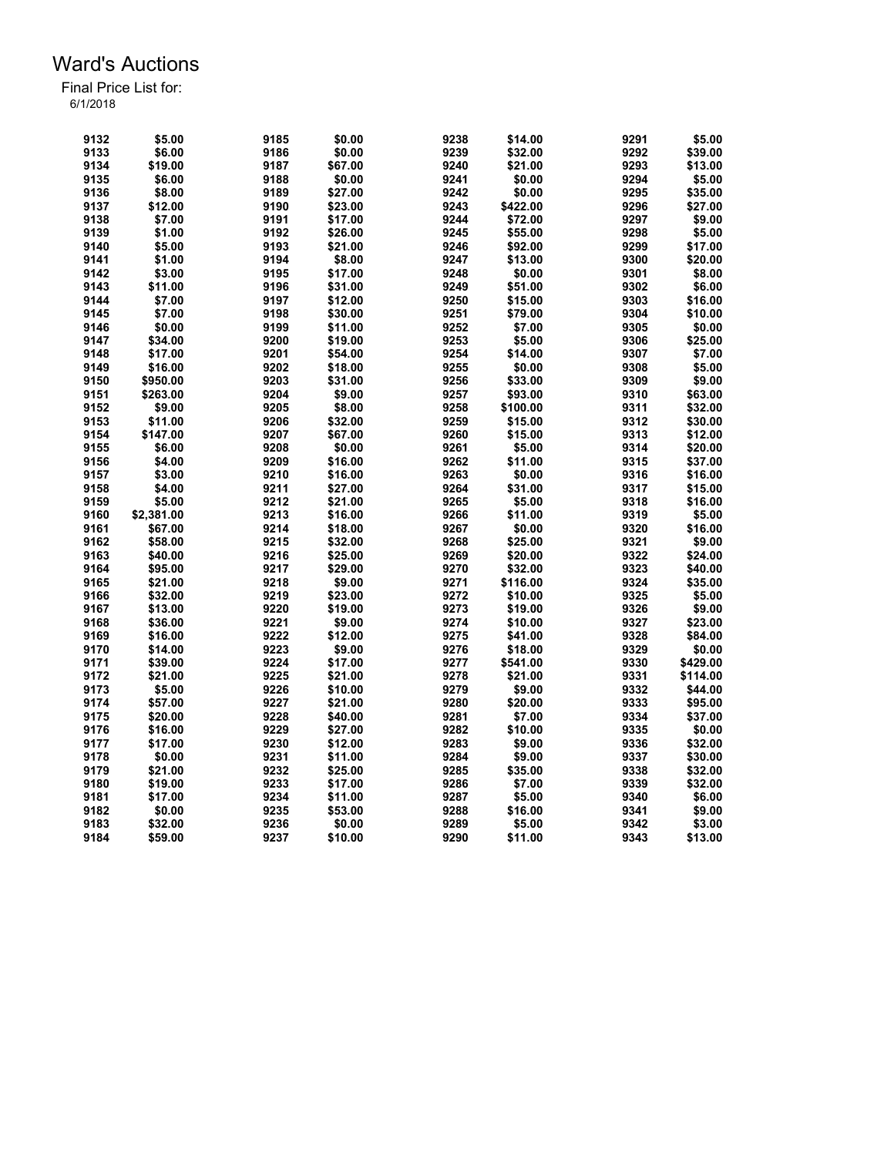| 9132 | \$5.00     | 9185 | \$0.00  | 9238 | \$14.00  | 9291 | \$5.00   |
|------|------------|------|---------|------|----------|------|----------|
|      |            |      |         |      |          |      |          |
| 9133 | \$6.00     | 9186 | \$0.00  | 9239 | \$32.00  | 9292 | \$39.00  |
| 9134 | \$19.00    | 9187 | \$67.00 | 9240 | \$21.00  | 9293 | \$13.00  |
| 9135 | \$6.00     | 9188 | \$0.00  | 9241 | \$0.00   | 9294 | \$5.00   |
| 9136 | \$8.00     | 9189 | \$27.00 | 9242 | \$0.00   | 9295 | \$35.00  |
| 9137 | \$12.00    | 9190 | \$23.00 | 9243 | \$422.00 | 9296 | \$27.00  |
| 9138 | \$7.00     | 9191 | \$17.00 | 9244 | \$72.00  | 9297 | \$9.00   |
| 9139 | \$1.00     | 9192 | \$26.00 | 9245 | \$55.00  | 9298 | \$5.00   |
| 9140 | \$5.00     | 9193 | \$21.00 | 9246 | \$92.00  | 9299 | \$17.00  |
| 9141 | \$1.00     | 9194 | \$8.00  | 9247 | \$13.00  | 9300 | \$20.00  |
| 9142 | \$3.00     | 9195 | \$17.00 | 9248 | \$0.00   | 9301 | \$8.00   |
| 9143 | \$11.00    | 9196 | \$31.00 | 9249 | \$51.00  | 9302 | \$6.00   |
| 9144 | \$7.00     |      |         | 9250 |          | 9303 |          |
|      |            | 9197 | \$12.00 |      | \$15.00  |      | \$16.00  |
| 9145 | \$7.00     | 9198 | \$30.00 | 9251 | \$79.00  | 9304 | \$10.00  |
| 9146 | \$0.00     | 9199 | \$11.00 | 9252 | \$7.00   | 9305 | \$0.00   |
| 9147 | \$34.00    | 9200 | \$19.00 | 9253 | \$5.00   | 9306 | \$25.00  |
| 9148 | \$17.00    | 9201 | \$54.00 | 9254 | \$14.00  | 9307 | \$7.00   |
| 9149 | \$16.00    | 9202 | \$18.00 | 9255 | \$0.00   | 9308 | \$5.00   |
| 9150 | \$950.00   | 9203 | \$31.00 | 9256 | \$33.00  | 9309 | \$9.00   |
| 9151 | \$263.00   | 9204 | \$9.00  | 9257 | \$93.00  | 9310 | \$63.00  |
| 9152 | \$9.00     | 9205 | \$8.00  | 9258 | \$100.00 | 9311 | \$32.00  |
| 9153 | \$11.00    | 9206 | \$32.00 | 9259 | \$15.00  | 9312 | \$30.00  |
| 9154 | \$147.00   | 9207 | \$67.00 | 9260 | \$15.00  | 9313 | \$12.00  |
| 9155 | \$6.00     | 9208 | \$0.00  | 9261 | \$5.00   | 9314 | \$20.00  |
| 9156 | \$4.00     | 9209 | \$16.00 | 9262 | \$11.00  | 9315 | \$37.00  |
|      |            |      |         |      |          |      |          |
| 9157 | \$3.00     | 9210 | \$16.00 | 9263 | \$0.00   | 9316 | \$16.00  |
| 9158 | \$4.00     | 9211 | \$27.00 | 9264 | \$31.00  | 9317 | \$15.00  |
| 9159 | \$5.00     | 9212 | \$21.00 | 9265 | \$5.00   | 9318 | \$16.00  |
| 9160 | \$2,381.00 | 9213 | \$16.00 | 9266 | \$11.00  | 9319 | \$5.00   |
| 9161 | \$67.00    | 9214 | \$18.00 | 9267 | \$0.00   | 9320 | \$16.00  |
| 9162 | \$58.00    | 9215 | \$32.00 | 9268 | \$25.00  | 9321 | \$9.00   |
| 9163 | \$40.00    | 9216 | \$25.00 | 9269 | \$20.00  | 9322 | \$24.00  |
| 9164 | \$95.00    | 9217 | \$29.00 | 9270 | \$32.00  | 9323 | \$40.00  |
| 9165 | \$21.00    | 9218 | \$9.00  | 9271 | \$116.00 | 9324 | \$35.00  |
| 9166 | \$32.00    | 9219 | \$23.00 | 9272 | \$10.00  | 9325 | \$5.00   |
| 9167 | \$13.00    | 9220 | \$19.00 | 9273 | \$19.00  | 9326 | \$9.00   |
| 9168 | \$36.00    | 9221 | \$9.00  | 9274 | \$10.00  | 9327 | \$23.00  |
| 9169 | \$16.00    | 9222 | \$12.00 | 9275 | \$41.00  | 9328 | \$84.00  |
| 9170 | \$14.00    | 9223 | \$9.00  | 9276 | \$18.00  | 9329 | \$0.00   |
| 9171 | \$39.00    | 9224 | \$17.00 |      |          | 9330 | \$429.00 |
|      |            |      |         | 9277 | \$541.00 |      |          |
| 9172 | \$21.00    | 9225 | \$21.00 | 9278 | \$21.00  | 9331 | \$114.00 |
| 9173 | \$5.00     | 9226 | \$10.00 | 9279 | \$9.00   | 9332 | \$44.00  |
| 9174 | \$57.00    | 9227 | \$21.00 | 9280 | \$20.00  | 9333 | \$95.00  |
| 9175 | \$20.00    | 9228 | \$40.00 | 9281 | \$7.00   | 9334 | \$37.00  |
| 9176 | \$16.00    | 9229 | \$27.00 | 9282 | \$10.00  | 9335 | \$0.00   |
| 9177 | \$17.00    | 9230 | \$12.00 | 9283 | \$9.00   | 9336 | \$32.00  |
| 9178 | \$0.00     | 9231 | \$11.00 | 9284 | \$9.00   | 9337 | \$30.00  |
| 9179 | \$21.00    | 9232 | \$25.00 | 9285 | \$35.00  | 9338 | \$32.00  |
| 9180 | \$19.00    | 9233 | \$17.00 | 9286 | \$7.00   | 9339 | \$32.00  |
| 9181 | \$17.00    | 9234 | \$11.00 | 9287 | \$5.00   | 9340 | \$6.00   |
| 9182 | \$0.00     | 9235 | \$53.00 | 9288 | \$16.00  | 9341 | \$9.00   |
| 9183 | \$32.00    | 9236 | \$0.00  | 9289 | \$5.00   | 9342 | \$3.00   |
| 9184 | \$59.00    | 9237 | \$10.00 | 9290 | \$11.00  | 9343 | \$13.00  |
|      |            |      |         |      |          |      |          |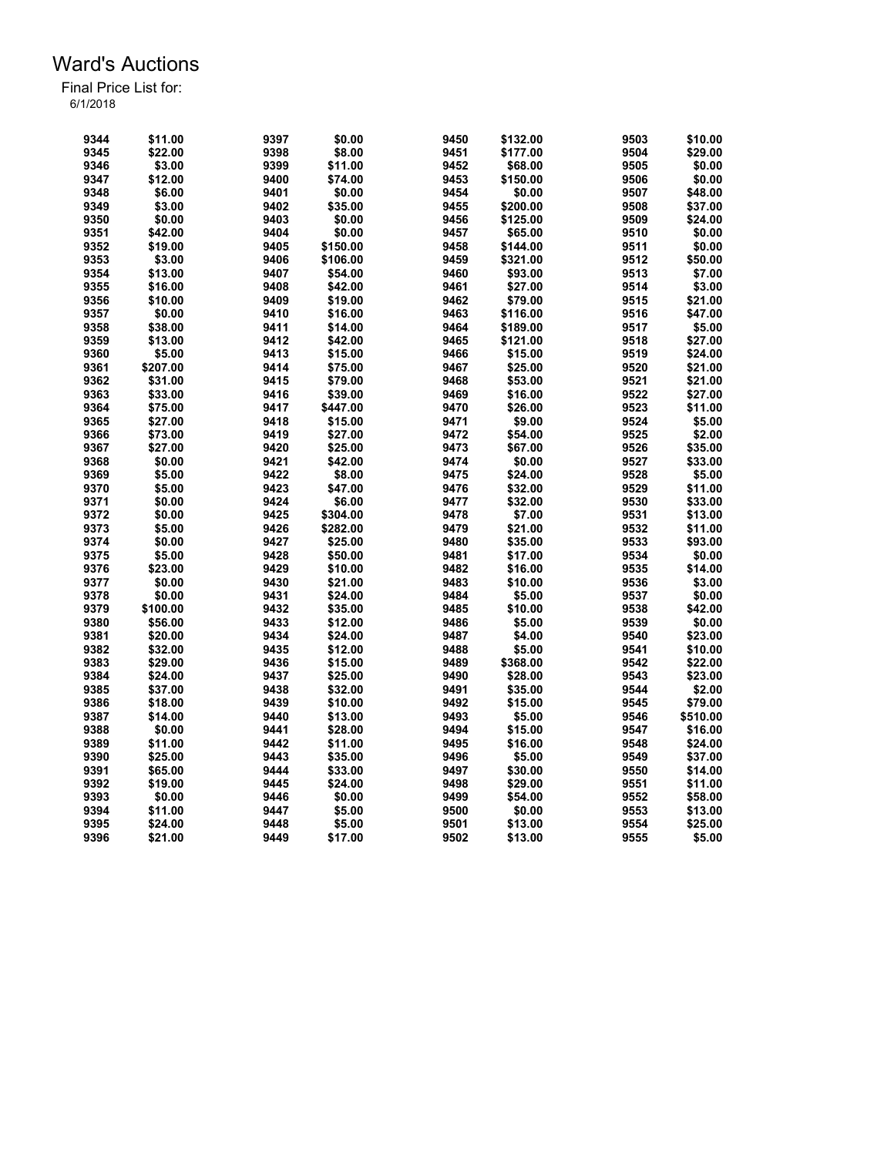| 9344 | \$11.00  | 9397 | \$0.00   | 9450 | \$132.00 | 9503 | \$10.00  |
|------|----------|------|----------|------|----------|------|----------|
| 9345 | \$22.00  | 9398 | \$8.00   | 9451 | \$177.00 | 9504 | \$29.00  |
| 9346 | \$3.00   | 9399 | \$11.00  | 9452 | \$68.00  | 9505 | \$0.00   |
| 9347 | \$12.00  | 9400 | \$74.00  | 9453 | \$150.00 | 9506 | \$0.00   |
| 9348 | \$6.00   | 9401 | \$0.00   | 9454 | \$0.00   | 9507 | \$48.00  |
| 9349 | \$3.00   | 9402 | \$35.00  | 9455 | \$200.00 | 9508 | \$37.00  |
| 9350 | \$0.00   | 9403 | \$0.00   | 9456 | \$125.00 | 9509 | \$24.00  |
| 9351 | \$42.00  | 9404 | \$0.00   | 9457 | \$65.00  | 9510 | \$0.00   |
| 9352 | \$19.00  | 9405 | \$150.00 | 9458 | \$144.00 | 9511 | \$0.00   |
| 9353 | \$3.00   | 9406 | \$106.00 | 9459 | \$321.00 | 9512 | \$50.00  |
| 9354 | \$13.00  | 9407 | \$54.00  | 9460 | \$93.00  | 9513 | \$7.00   |
| 9355 | \$16.00  | 9408 | \$42.00  | 9461 | \$27.00  | 9514 | \$3.00   |
| 9356 | \$10.00  | 9409 | \$19.00  | 9462 | \$79.00  | 9515 | \$21.00  |
| 9357 | \$0.00   | 9410 | \$16.00  | 9463 | \$116.00 | 9516 | \$47.00  |
| 9358 | \$38.00  | 9411 | \$14.00  | 9464 | \$189.00 | 9517 | \$5.00   |
| 9359 | \$13.00  | 9412 | \$42.00  | 9465 | \$121.00 | 9518 | \$27.00  |
| 9360 | \$5.00   | 9413 | \$15.00  | 9466 | \$15.00  | 9519 | \$24.00  |
|      |          |      |          |      |          | 9520 |          |
| 9361 | \$207.00 | 9414 | \$75.00  | 9467 | \$25.00  |      | \$21.00  |
| 9362 | \$31.00  | 9415 | \$79.00  | 9468 | \$53.00  | 9521 | \$21.00  |
| 9363 | \$33.00  | 9416 | \$39.00  | 9469 | \$16.00  | 9522 | \$27.00  |
| 9364 | \$75.00  | 9417 | \$447.00 | 9470 | \$26.00  | 9523 | \$11.00  |
| 9365 | \$27.00  | 9418 | \$15.00  | 9471 | \$9.00   | 9524 | \$5.00   |
| 9366 | \$73.00  | 9419 | \$27.00  | 9472 | \$54.00  | 9525 | \$2.00   |
| 9367 | \$27.00  | 9420 | \$25.00  | 9473 | \$67.00  | 9526 | \$35.00  |
| 9368 | \$0.00   | 9421 | \$42.00  | 9474 | \$0.00   | 9527 | \$33.00  |
| 9369 | \$5.00   | 9422 | \$8.00   | 9475 | \$24.00  | 9528 | \$5.00   |
| 9370 | \$5.00   | 9423 | \$47.00  | 9476 | \$32.00  | 9529 | \$11.00  |
| 9371 | \$0.00   | 9424 | \$6.00   | 9477 | \$32.00  | 9530 | \$33.00  |
| 9372 | \$0.00   | 9425 | \$304.00 | 9478 | \$7.00   | 9531 | \$13.00  |
| 9373 | \$5.00   | 9426 | \$282.00 | 9479 | \$21.00  | 9532 | \$11.00  |
| 9374 | \$0.00   | 9427 | \$25.00  | 9480 | \$35.00  | 9533 | \$93.00  |
| 9375 | \$5.00   | 9428 | \$50.00  | 9481 | \$17.00  | 9534 | \$0.00   |
| 9376 | \$23.00  | 9429 | \$10.00  | 9482 | \$16.00  | 9535 | \$14.00  |
| 9377 | \$0.00   | 9430 | \$21.00  | 9483 | \$10.00  | 9536 | \$3.00   |
| 9378 | \$0.00   | 9431 | \$24.00  | 9484 | \$5.00   | 9537 | \$0.00   |
| 9379 | \$100.00 | 9432 | \$35.00  | 9485 | \$10.00  | 9538 | \$42.00  |
| 9380 | \$56.00  | 9433 | \$12.00  | 9486 | \$5.00   | 9539 | \$0.00   |
| 9381 | \$20.00  | 9434 | \$24.00  | 9487 | \$4.00   | 9540 | \$23.00  |
| 9382 | \$32.00  | 9435 | \$12.00  | 9488 | \$5.00   | 9541 | \$10.00  |
| 9383 | \$29.00  | 9436 | \$15.00  | 9489 | \$368.00 | 9542 | \$22.00  |
| 9384 | \$24.00  | 9437 | \$25.00  | 9490 | \$28.00  | 9543 | \$23.00  |
| 9385 | \$37.00  | 9438 | \$32.00  | 9491 | \$35.00  | 9544 | \$2.00   |
| 9386 | \$18.00  | 9439 | \$10.00  | 9492 | \$15.00  | 9545 | \$79.00  |
| 9387 | \$14.00  | 9440 | \$13.00  | 9493 | \$5.00   | 9546 | \$510.00 |
| 9388 | \$0.00   | 9441 | \$28.00  | 9494 | \$15.00  | 9547 | \$16.00  |
| 9389 | \$11.00  | 9442 | \$11.00  | 9495 | \$16.00  | 9548 | \$24.00  |
| 9390 | \$25.00  | 9443 | \$35.00  | 9496 | \$5.00   | 9549 | \$37.00  |
| 9391 | \$65.00  | 9444 | \$33.00  | 9497 | \$30.00  | 9550 | \$14.00  |
| 9392 | \$19.00  | 9445 | \$24.00  | 9498 | \$29.00  | 9551 | \$11.00  |
| 9393 | \$0.00   | 9446 | \$0.00   | 9499 | \$54.00  | 9552 | \$58.00  |
| 9394 | \$11.00  | 9447 | \$5.00   | 9500 | \$0.00   | 9553 | \$13.00  |
| 9395 | \$24.00  | 9448 | \$5.00   | 9501 | \$13.00  | 9554 | \$25.00  |
|      |          |      |          |      |          |      |          |
| 9396 | \$21.00  | 9449 | \$17.00  | 9502 | \$13.00  | 9555 | \$5.00   |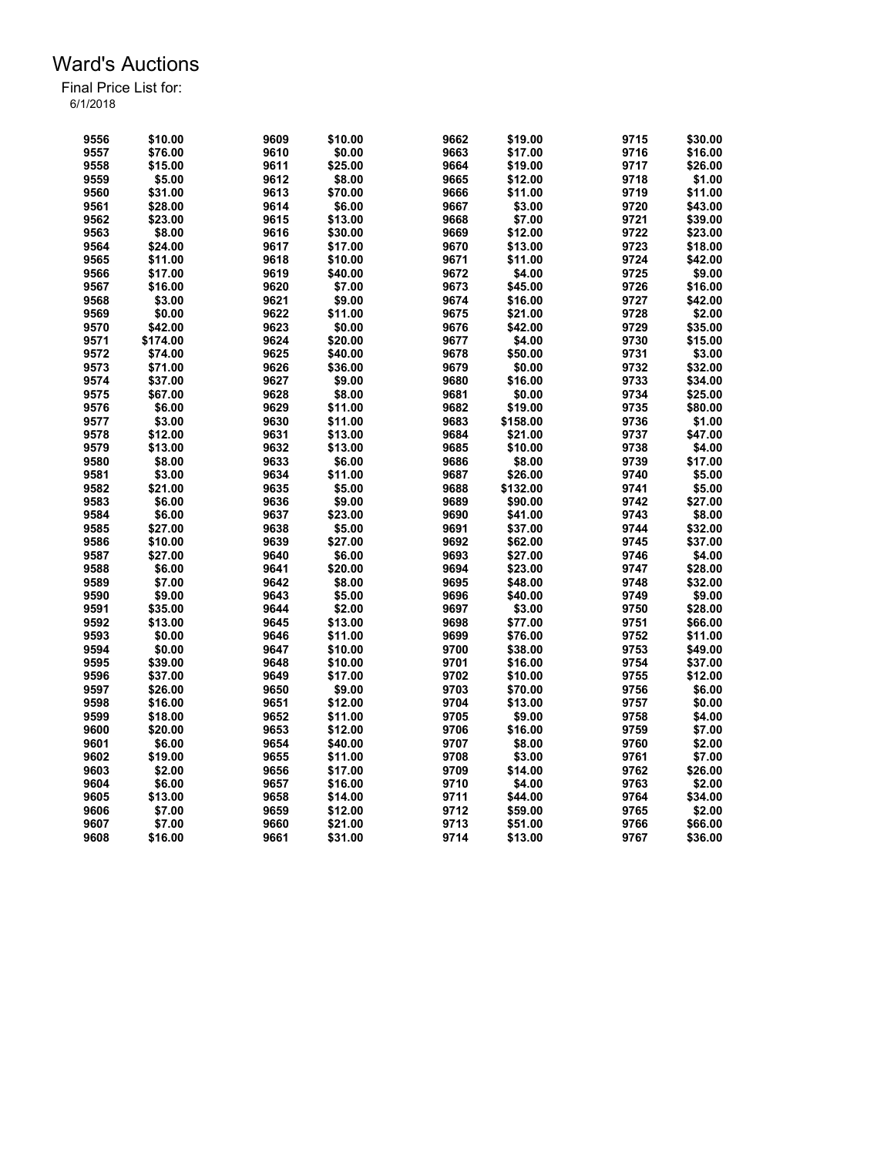| 9556 | \$10.00  | 9609 | \$10.00 | 9662 | \$19.00  | 9715 | \$30.00 |
|------|----------|------|---------|------|----------|------|---------|
| 9557 | \$76.00  | 9610 | \$0.00  | 9663 | \$17.00  | 9716 | \$16.00 |
| 9558 | \$15.00  | 9611 | \$25.00 | 9664 | \$19.00  | 9717 | \$26.00 |
| 9559 | \$5.00   | 9612 | \$8.00  | 9665 | \$12.00  | 9718 | \$1.00  |
| 9560 | \$31.00  | 9613 | \$70.00 | 9666 | \$11.00  | 9719 | \$11.00 |
| 9561 | \$28.00  | 9614 | \$6.00  | 9667 | \$3.00   | 9720 | \$43.00 |
| 9562 | \$23.00  | 9615 | \$13.00 | 9668 | \$7.00   | 9721 | \$39.00 |
| 9563 | \$8.00   | 9616 | \$30.00 | 9669 | \$12.00  | 9722 | \$23.00 |
| 9564 | \$24.00  | 9617 | \$17.00 | 9670 | \$13.00  | 9723 | \$18.00 |
| 9565 | \$11.00  | 9618 | \$10.00 | 9671 | \$11.00  | 9724 | \$42.00 |
| 9566 | \$17.00  | 9619 | \$40.00 | 9672 | \$4.00   | 9725 | \$9.00  |
| 9567 | \$16.00  | 9620 | \$7.00  | 9673 | \$45.00  | 9726 | \$16.00 |
| 9568 | \$3.00   | 9621 | \$9.00  | 9674 | \$16.00  | 9727 | \$42.00 |
| 9569 | \$0.00   | 9622 | \$11.00 | 9675 | \$21.00  | 9728 | \$2.00  |
| 9570 | \$42.00  | 9623 | \$0.00  | 9676 | \$42.00  | 9729 | \$35.00 |
| 9571 | \$174.00 | 9624 | \$20.00 | 9677 | \$4.00   | 9730 | \$15.00 |
| 9572 | \$74.00  | 9625 | \$40.00 | 9678 | \$50.00  | 9731 | \$3.00  |
| 9573 | \$71.00  | 9626 | \$36.00 | 9679 | \$0.00   | 9732 | \$32.00 |
|      | \$37.00  | 9627 |         | 9680 | \$16.00  | 9733 |         |
| 9574 |          |      | \$9.00  |      |          |      | \$34.00 |
| 9575 | \$67.00  | 9628 | \$8.00  | 9681 | \$0.00   | 9734 | \$25.00 |
| 9576 | \$6.00   | 9629 | \$11.00 | 9682 | \$19.00  | 9735 | \$80.00 |
| 9577 | \$3.00   | 9630 | \$11.00 | 9683 | \$158.00 | 9736 | \$1.00  |
| 9578 | \$12.00  | 9631 | \$13.00 | 9684 | \$21.00  | 9737 | \$47.00 |
| 9579 | \$13.00  | 9632 | \$13.00 | 9685 | \$10.00  | 9738 | \$4.00  |
| 9580 | \$8.00   | 9633 | \$6.00  | 9686 | \$8.00   | 9739 | \$17.00 |
| 9581 | \$3.00   | 9634 | \$11.00 | 9687 | \$26.00  | 9740 | \$5.00  |
| 9582 | \$21.00  | 9635 | \$5.00  | 9688 | \$132.00 | 9741 | \$5.00  |
| 9583 | \$6.00   | 9636 | \$9.00  | 9689 | \$90.00  | 9742 | \$27.00 |
| 9584 | \$6.00   | 9637 | \$23.00 | 9690 | \$41.00  | 9743 | \$8.00  |
| 9585 | \$27.00  | 9638 | \$5.00  | 9691 | \$37.00  | 9744 | \$32.00 |
| 9586 | \$10.00  | 9639 | \$27.00 | 9692 | \$62.00  | 9745 | \$37.00 |
| 9587 | \$27.00  | 9640 | \$6.00  | 9693 | \$27.00  | 9746 | \$4.00  |
| 9588 | \$6.00   | 9641 | \$20.00 | 9694 | \$23.00  | 9747 | \$28.00 |
| 9589 | \$7.00   | 9642 | \$8.00  | 9695 | \$48.00  | 9748 | \$32.00 |
| 9590 | \$9.00   | 9643 | \$5.00  | 9696 | \$40.00  | 9749 | \$9.00  |
| 9591 | \$35.00  | 9644 | \$2.00  | 9697 | \$3.00   | 9750 | \$28.00 |
| 9592 | \$13.00  | 9645 | \$13.00 | 9698 | \$77.00  | 9751 | \$66.00 |
| 9593 | \$0.00   | 9646 | \$11.00 | 9699 | \$76.00  | 9752 | \$11.00 |
| 9594 | \$0.00   | 9647 | \$10.00 | 9700 | \$38.00  | 9753 | \$49.00 |
| 9595 | \$39.00  | 9648 | \$10.00 | 9701 | \$16.00  | 9754 | \$37.00 |
| 9596 | \$37.00  | 9649 | \$17.00 | 9702 | \$10.00  | 9755 | \$12.00 |
| 9597 | \$26.00  | 9650 | \$9.00  | 9703 | \$70.00  | 9756 | \$6.00  |
| 9598 | \$16.00  | 9651 | \$12.00 | 9704 | \$13.00  | 9757 | \$0.00  |
| 9599 | \$18.00  | 9652 | \$11.00 | 9705 | \$9.00   | 9758 | \$4.00  |
| 9600 | \$20.00  | 9653 | \$12.00 | 9706 | \$16.00  | 9759 | \$7.00  |
| 9601 | \$6.00   | 9654 | \$40.00 | 9707 | \$8.00   | 9760 | \$2.00  |
| 9602 | \$19.00  | 9655 | \$11.00 | 9708 | \$3.00   | 9761 | \$7.00  |
| 9603 | \$2.00   | 9656 | \$17.00 | 9709 | \$14.00  | 9762 | \$26.00 |
| 9604 | \$6.00   | 9657 | \$16.00 | 9710 | \$4.00   | 9763 | \$2.00  |
| 9605 | \$13.00  | 9658 | \$14.00 | 9711 | \$44.00  | 9764 | \$34.00 |
| 9606 | \$7.00   | 9659 | \$12.00 | 9712 | \$59.00  | 9765 | \$2.00  |
| 9607 | \$7.00   | 9660 | \$21.00 | 9713 | \$51.00  | 9766 | \$66.00 |
| 9608 | \$16.00  | 9661 | \$31.00 | 9714 | \$13.00  | 9767 | \$36.00 |
|      |          |      |         |      |          |      |         |